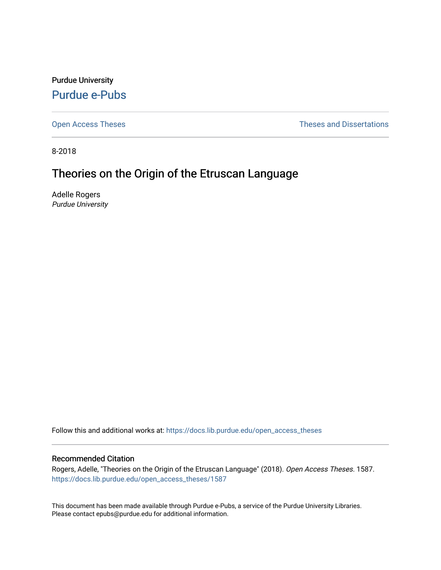Purdue University [Purdue e-Pubs](https://docs.lib.purdue.edu/)

[Open Access Theses](https://docs.lib.purdue.edu/open_access_theses) **Theses Theses Theses** and Dissertations

8-2018

# Theories on the Origin of the Etruscan Language

Adelle Rogers Purdue University

Follow this and additional works at: [https://docs.lib.purdue.edu/open\\_access\\_theses](https://docs.lib.purdue.edu/open_access_theses?utm_source=docs.lib.purdue.edu%2Fopen_access_theses%2F1587&utm_medium=PDF&utm_campaign=PDFCoverPages) 

### Recommended Citation

Rogers, Adelle, "Theories on the Origin of the Etruscan Language" (2018). Open Access Theses. 1587. [https://docs.lib.purdue.edu/open\\_access\\_theses/1587](https://docs.lib.purdue.edu/open_access_theses/1587?utm_source=docs.lib.purdue.edu%2Fopen_access_theses%2F1587&utm_medium=PDF&utm_campaign=PDFCoverPages) 

This document has been made available through Purdue e-Pubs, a service of the Purdue University Libraries. Please contact epubs@purdue.edu for additional information.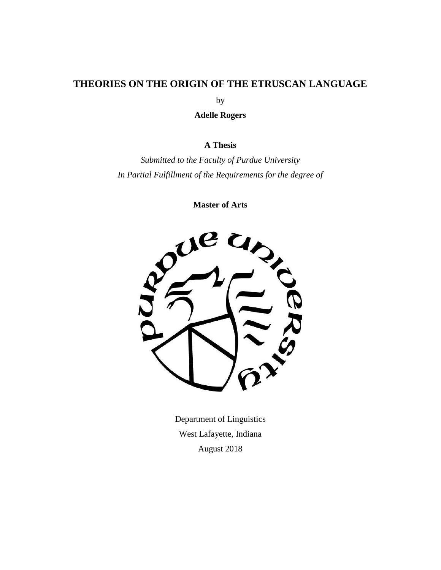# **THEORIES ON THE ORIGIN OF THE ETRUSCAN LANGUAGE**

by

**Adelle Rogers**

# **A Thesis**

*Submitted to the Faculty of Purdue University In Partial Fulfillment of the Requirements for the degree of*

**Master of Arts**



Department of Linguistics West Lafayette, Indiana August 2018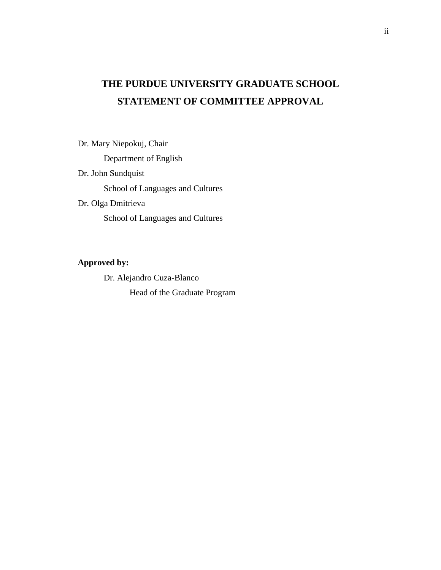# **THE PURDUE UNIVERSITY GRADUATE SCHOOL STATEMENT OF COMMITTEE APPROVAL**

Dr. Mary Niepokuj, Chair

Department of English

Dr. John Sundquist

School of Languages and Cultures

Dr. Olga Dmitrieva

School of Languages and Cultures

# **Approved by:**

Dr. Alejandro Cuza-Blanco Head of the Graduate Program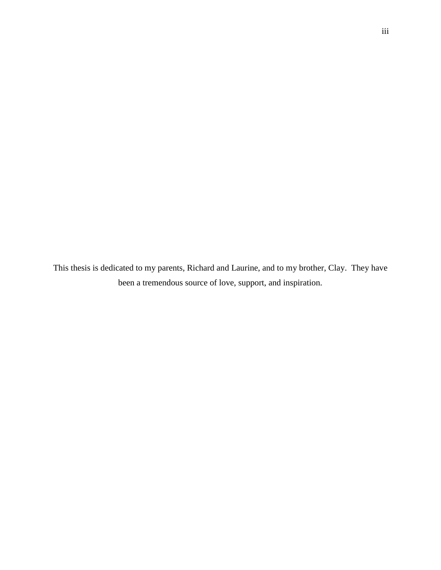This thesis is dedicated to my parents, Richard and Laurine, and to my brother, Clay. They have been a tremendous source of love, support, and inspiration.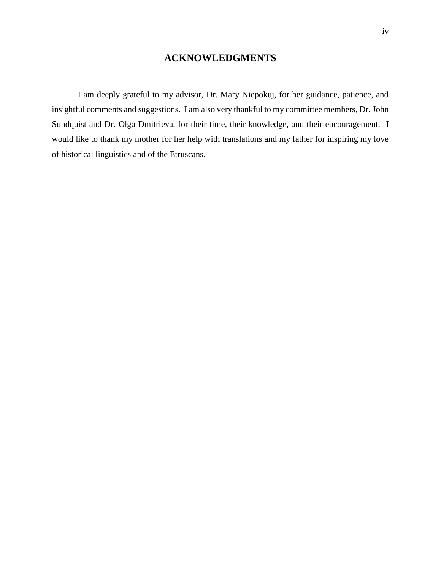# **ACKNOWLEDGMENTS**

I am deeply grateful to my advisor, Dr. Mary Niepokuj, for her guidance, patience, and insightful comments and suggestions. I am also very thankful to my committee members, Dr. John Sundquist and Dr. Olga Dmitrieva, for their time, their knowledge, and their encouragement. I would like to thank my mother for her help with translations and my father for inspiring my love of historical linguistics and of the Etruscans.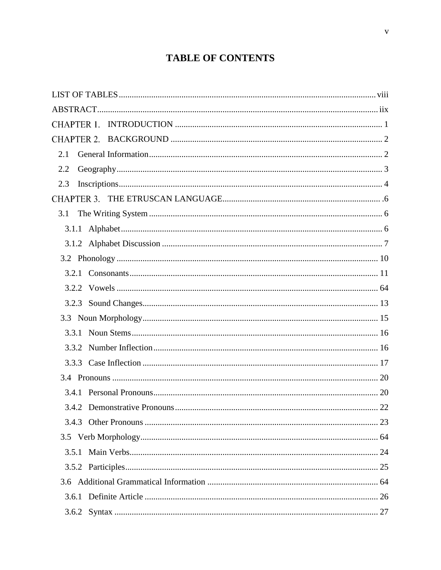# **TABLE OF CONTENTS**

| 2.1   |  |
|-------|--|
| 2.2   |  |
| 2.3   |  |
|       |  |
| 3.1   |  |
|       |  |
|       |  |
|       |  |
|       |  |
|       |  |
|       |  |
|       |  |
|       |  |
|       |  |
|       |  |
|       |  |
|       |  |
|       |  |
|       |  |
|       |  |
| 3.5.1 |  |
|       |  |
|       |  |
|       |  |
|       |  |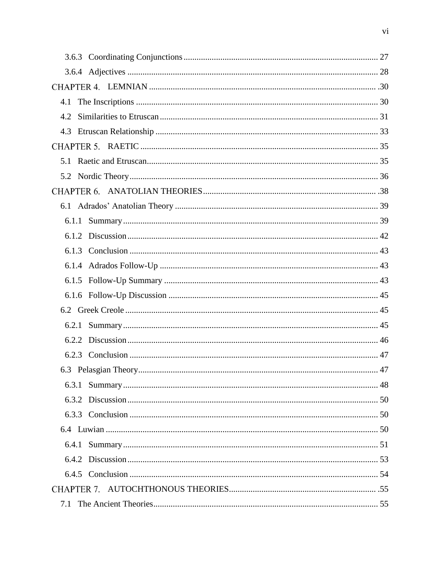| 4.1   |  |
|-------|--|
|       |  |
|       |  |
|       |  |
|       |  |
|       |  |
|       |  |
|       |  |
| 6.1.1 |  |
|       |  |
|       |  |
|       |  |
|       |  |
|       |  |
|       |  |
| 6.2.1 |  |
|       |  |
|       |  |
|       |  |
| 6.3.1 |  |
|       |  |
|       |  |
|       |  |
| 6.4.1 |  |
|       |  |
|       |  |
|       |  |
|       |  |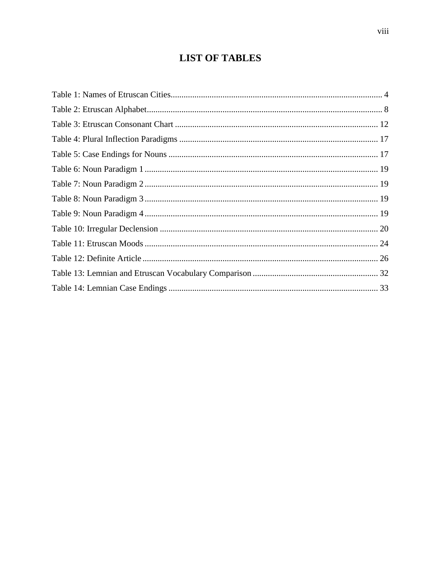# **LIST OF TABLES**

<span id="page-8-0"></span>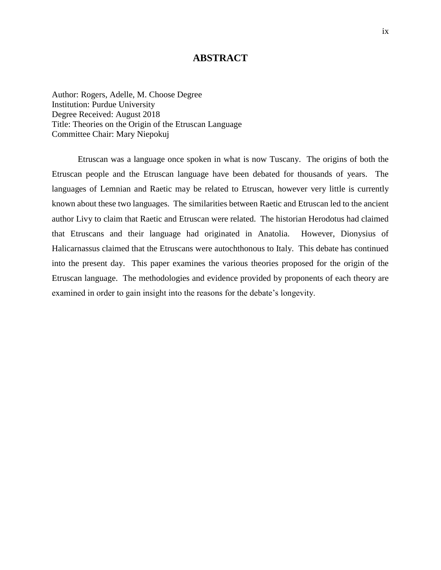# **ABSTRACT**

<span id="page-9-0"></span>Author: Rogers, Adelle, M. Choose Degree Institution: Purdue University Degree Received: August 2018 Title: Theories on the Origin of the Etruscan Language Committee Chair: Mary Niepokuj

Etruscan was a language once spoken in what is now Tuscany. The origins of both the Etruscan people and the Etruscan language have been debated for thousands of years. The languages of Lemnian and Raetic may be related to Etruscan, however very little is currently known about these two languages. The similarities between Raetic and Etruscan led to the ancient author Livy to claim that Raetic and Etruscan were related. The historian Herodotus had claimed that Etruscans and their language had originated in Anatolia. However, Dionysius of Halicarnassus claimed that the Etruscans were autochthonous to Italy. This debate has continued into the present day. This paper examines the various theories proposed for the origin of the Etruscan language. The methodologies and evidence provided by proponents of each theory are examined in order to gain insight into the reasons for the debate's longevity.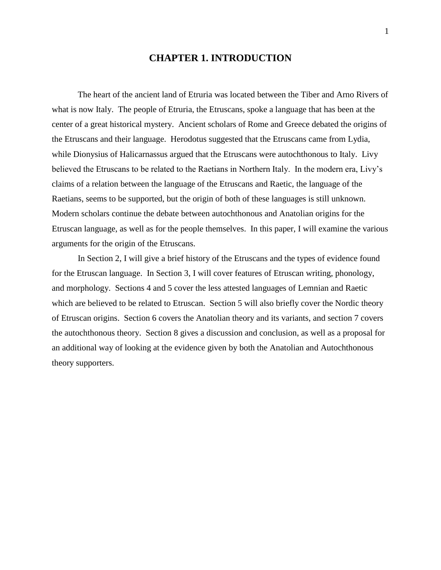# **CHAPTER 1. INTRODUCTION**

The heart of the ancient land of Etruria was located between the Tiber and Arno Rivers of what is now Italy. The people of Etruria, the Etruscans, spoke a language that has been at the center of a great historical mystery. Ancient scholars of Rome and Greece debated the origins of the Etruscans and their language. Herodotus suggested that the Etruscans came from Lydia, while Dionysius of Halicarnassus argued that the Etruscans were autochthonous to Italy. Livy believed the Etruscans to be related to the Raetians in Northern Italy. In the modern era, Livy's claims of a relation between the language of the Etruscans and Raetic, the language of the Raetians, seems to be supported, but the origin of both of these languages is still unknown. Modern scholars continue the debate between autochthonous and Anatolian origins for the Etruscan language, as well as for the people themselves. In this paper, I will examine the various arguments for the origin of the Etruscans.

In Section 2, I will give a brief history of the Etruscans and the types of evidence found for the Etruscan language. In Section 3, I will cover features of Etruscan writing, phonology, and morphology. Sections 4 and 5 cover the less attested languages of Lemnian and Raetic which are believed to be related to Etruscan. Section 5 will also briefly cover the Nordic theory of Etruscan origins. Section 6 covers the Anatolian theory and its variants, and section 7 covers the autochthonous theory. Section 8 gives a discussion and conclusion, as well as a proposal for an additional way of looking at the evidence given by both the Anatolian and Autochthonous theory supporters.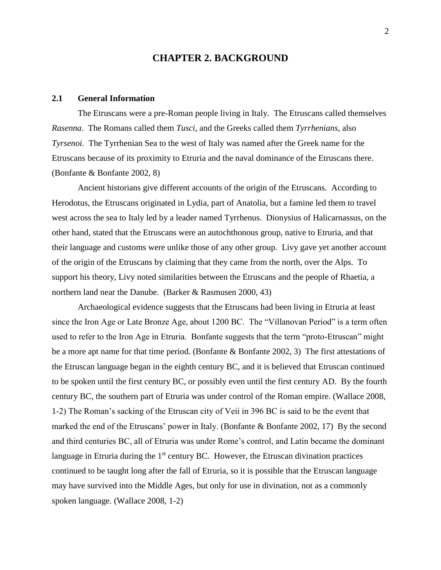# <span id="page-11-0"></span>**CHAPTER 2. BACKGROUND**

### **2.1 General Information**

The Etruscans were a pre-Roman people living in Italy. The Etruscans called themselves *Rasenna*. The Romans called them *Tusci*, and the Greeks called them *Tyrrhenians,* also *Tyrsenoi.* The Tyrrhenian Sea to the west of Italy was named after the Greek name for the Etruscans because of its proximity to Etruria and the naval dominance of the Etruscans there. (Bonfante & Bonfante 2002, 8)

Ancient historians give different accounts of the origin of the Etruscans. According to Herodotus, the Etruscans originated in Lydia, part of Anatolia, but a famine led them to travel west across the sea to Italy led by a leader named Tyrrhenus. Dionysius of Halicarnassus, on the other hand, stated that the Etruscans were an autochthonous group, native to Etruria, and that their language and customs were unlike those of any other group. Livy gave yet another account of the origin of the Etruscans by claiming that they came from the north, over the Alps. To support his theory, Livy noted similarities between the Etruscans and the people of Rhaetia, a northern land near the Danube. (Barker & Rasmusen 2000, 43)

Archaeological evidence suggests that the Etruscans had been living in Etruria at least since the Iron Age or Late Bronze Age, about 1200 BC. The "Villanovan Period" is a term often used to refer to the Iron Age in Etruria. Bonfante suggests that the term "proto-Etruscan" might be a more apt name for that time period. (Bonfante & Bonfante 2002, 3) The first attestations of the Etruscan language began in the eighth century BC, and it is believed that Etruscan continued to be spoken until the first century BC, or possibly even until the first century AD. By the fourth century BC, the southern part of Etruria was under control of the Roman empire. (Wallace 2008, 1-2) The Roman's sacking of the Etruscan city of Veii in 396 BC is said to be the event that marked the end of the Etruscans' power in Italy. (Bonfante  $\&$  Bonfante 2002, 17) By the second and third centuries BC, all of Etruria was under Rome's control, and Latin became the dominant language in Etruria during the  $1<sup>st</sup>$  century BC. However, the Etruscan divination practices continued to be taught long after the fall of Etruria, so it is possible that the Etruscan language may have survived into the Middle Ages, but only for use in divination, not as a commonly spoken language. (Wallace 2008, 1-2)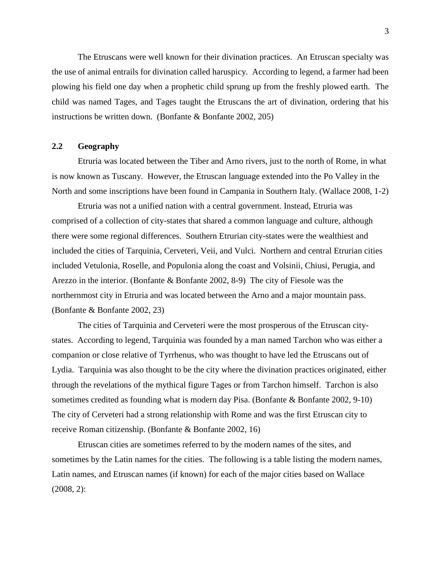The Etruscans were well known for their divination practices. An Etruscan specialty was the use of animal entrails for divination called haruspicy. According to legend, a farmer had been plowing his field one day when a prophetic child sprung up from the freshly plowed earth. The child was named Tages, and Tages taught the Etruscans the art of divination, ordering that his instructions be written down. (Bonfante & Bonfante 2002, 205)

## **2.2 Geography**

Etruria was located between the Tiber and Arno rivers, just to the north of Rome, in what is now known as Tuscany. However, the Etruscan language extended into the Po Valley in the North and some inscriptions have been found in Campania in Southern Italy. (Wallace 2008, 1-2)

Etruria was not a unified nation with a central government. Instead, Etruria was comprised of a collection of city-states that shared a common language and culture, although there were some regional differences. Southern Etrurian city-states were the wealthiest and included the cities of Tarquinia, Cerveteri, Veii, and Vulci. Northern and central Etrurian cities included Vetulonia, Roselle, and Populonia along the coast and Volsinii, Chiusi, Perugia, and Arezzo in the interior. (Bonfante & Bonfante 2002, 8-9) The city of Fiesole was the northernmost city in Etruria and was located between the Arno and a major mountain pass. (Bonfante & Bonfante 2002, 23)

The cities of Tarquinia and Cerveteri were the most prosperous of the Etruscan citystates. According to legend, Tarquinia was founded by a man named Tarchon who was either a companion or close relative of Tyrrhenus, who was thought to have led the Etruscans out of Lydia. Tarquinia was also thought to be the city where the divination practices originated, either through the revelations of the mythical figure Tages or from Tarchon himself. Tarchon is also sometimes credited as founding what is modern day Pisa. (Bonfante & Bonfante 2002, 9-10) The city of Cerveteri had a strong relationship with Rome and was the first Etruscan city to receive Roman citizenship. (Bonfante & Bonfante 2002, 16)

Etruscan cities are sometimes referred to by the modern names of the sites, and sometimes by the Latin names for the cities. The following is a table listing the modern names, Latin names, and Etruscan names (if known) for each of the major cities based on Wallace (2008, 2):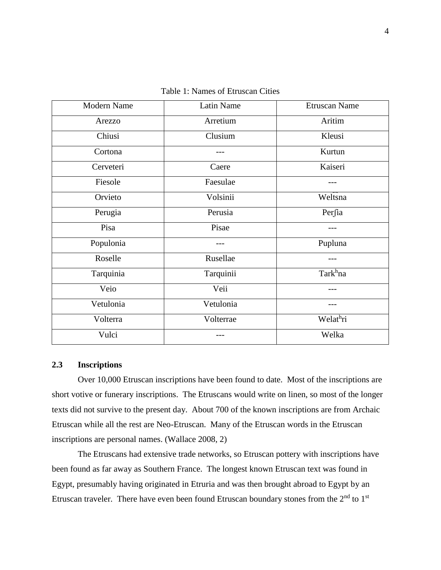<span id="page-13-0"></span>

| <b>Modern Name</b> | <b>Latin Name</b> | <b>Etruscan Name</b> |
|--------------------|-------------------|----------------------|
| Arezzo             | Arretium          | Aritim               |
| Chiusi             | Clusium           | Kleusi               |
| Cortona            |                   | Kurtun               |
| Cerveteri          | Caere             | Kaiseri              |
| Fiesole            | Faesulae          |                      |
| Orvieto            | Volsinii          | Weltsna              |
| Perugia            | Perusia           | Perfia               |
| Pisa               | Pisae             |                      |
| Populonia          |                   | Pupluna              |
| Roselle            | Rusellae          |                      |
| Tarquinia          | Tarquinii         | Tark <sup>h</sup> na |
| Veio               | Veii              |                      |
| Vetulonia          | Vetulonia         |                      |
| Volterra           | Volterrae         | Welathri             |
| Vulci              |                   | Welka                |

Table 1: Names of Etruscan Cities

## **2.3 Inscriptions**

Over 10,000 Etruscan inscriptions have been found to date. Most of the inscriptions are short votive or funerary inscriptions. The Etruscans would write on linen, so most of the longer texts did not survive to the present day. About 700 of the known inscriptions are from Archaic Etruscan while all the rest are Neo-Etruscan. Many of the Etruscan words in the Etruscan inscriptions are personal names. (Wallace 2008, 2)

The Etruscans had extensive trade networks, so Etruscan pottery with inscriptions have been found as far away as Southern France. The longest known Etruscan text was found in Egypt, presumably having originated in Etruria and was then brought abroad to Egypt by an Etruscan traveler. There have even been found Etruscan boundary stones from the  $2<sup>nd</sup>$  to  $1<sup>st</sup>$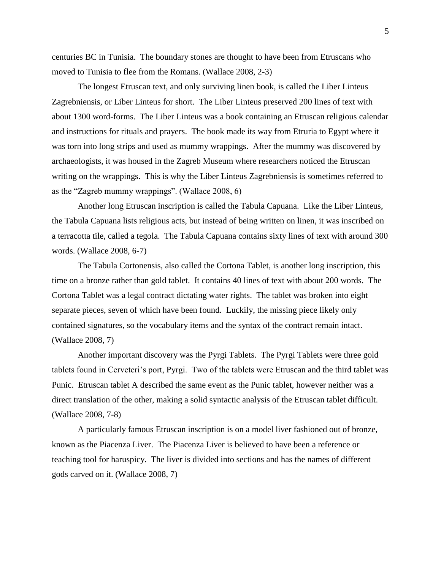centuries BC in Tunisia. The boundary stones are thought to have been from Etruscans who moved to Tunisia to flee from the Romans. (Wallace 2008, 2-3)

The longest Etruscan text, and only surviving linen book, is called the Liber Linteus Zagrebniensis, or Liber Linteus for short. The Liber Linteus preserved 200 lines of text with about 1300 word-forms. The Liber Linteus was a book containing an Etruscan religious calendar and instructions for rituals and prayers. The book made its way from Etruria to Egypt where it was torn into long strips and used as mummy wrappings. After the mummy was discovered by archaeologists, it was housed in the Zagreb Museum where researchers noticed the Etruscan writing on the wrappings. This is why the Liber Linteus Zagrebniensis is sometimes referred to as the "Zagreb mummy wrappings". (Wallace 2008, 6)

Another long Etruscan inscription is called the Tabula Capuana. Like the Liber Linteus, the Tabula Capuana lists religious acts, but instead of being written on linen, it was inscribed on a terracotta tile, called a tegola. The Tabula Capuana contains sixty lines of text with around 300 words. (Wallace 2008, 6-7)

The Tabula Cortonensis, also called the Cortona Tablet, is another long inscription, this time on a bronze rather than gold tablet. It contains 40 lines of text with about 200 words. The Cortona Tablet was a legal contract dictating water rights. The tablet was broken into eight separate pieces, seven of which have been found. Luckily, the missing piece likely only contained signatures, so the vocabulary items and the syntax of the contract remain intact. (Wallace 2008, 7)

Another important discovery was the Pyrgi Tablets. The Pyrgi Tablets were three gold tablets found in Cerveteri's port, Pyrgi. Two of the tablets were Etruscan and the third tablet was Punic. Etruscan tablet A described the same event as the Punic tablet, however neither was a direct translation of the other, making a solid syntactic analysis of the Etruscan tablet difficult. (Wallace 2008, 7-8)

A particularly famous Etruscan inscription is on a model liver fashioned out of bronze, known as the Piacenza Liver. The Piacenza Liver is believed to have been a reference or teaching tool for haruspicy. The liver is divided into sections and has the names of different gods carved on it. (Wallace 2008, 7)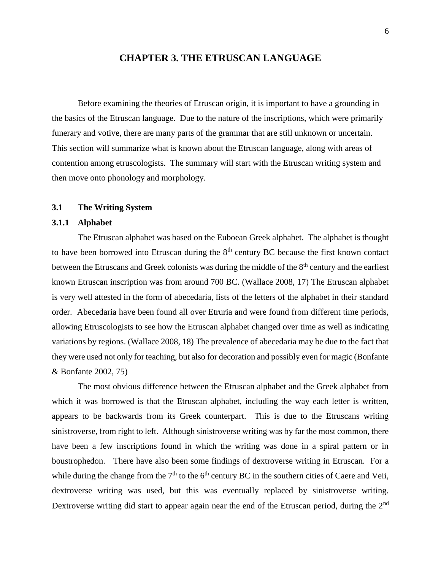# **CHAPTER 3. THE ETRUSCAN LANGUAGE**

Before examining the theories of Etruscan origin, it is important to have a grounding in the basics of the Etruscan language. Due to the nature of the inscriptions, which were primarily funerary and votive, there are many parts of the grammar that are still unknown or uncertain. This section will summarize what is known about the Etruscan language, along with areas of contention among etruscologists. The summary will start with the Etruscan writing system and then move onto phonology and morphology.

#### **3.1 The Writing System**

#### **3.1.1 Alphabet**

The Etruscan alphabet was based on the Euboean Greek alphabet. The alphabet is thought to have been borrowed into Etruscan during the  $8<sup>th</sup>$  century BC because the first known contact between the Etruscans and Greek colonists was during the middle of the 8<sup>th</sup> century and the earliest known Etruscan inscription was from around 700 BC. (Wallace 2008, 17) The Etruscan alphabet is very well attested in the form of abecedaria, lists of the letters of the alphabet in their standard order. Abecedaria have been found all over Etruria and were found from different time periods, allowing Etruscologists to see how the Etruscan alphabet changed over time as well as indicating variations by regions. (Wallace 2008, 18) The prevalence of abecedaria may be due to the fact that they were used not only for teaching, but also for decoration and possibly even for magic (Bonfante & Bonfante 2002, 75)

The most obvious difference between the Etruscan alphabet and the Greek alphabet from which it was borrowed is that the Etruscan alphabet, including the way each letter is written, appears to be backwards from its Greek counterpart. This is due to the Etruscans writing sinistroverse, from right to left. Although sinistroverse writing was by far the most common, there have been a few inscriptions found in which the writing was done in a spiral pattern or in boustrophedon. There have also been some findings of dextroverse writing in Etruscan. For a while during the change from the  $7<sup>th</sup>$  to the 6<sup>th</sup> century BC in the southern cities of Caere and Veii, dextroverse writing was used, but this was eventually replaced by sinistroverse writing. Dextroverse writing did start to appear again near the end of the Etruscan period, during the 2<sup>nd</sup>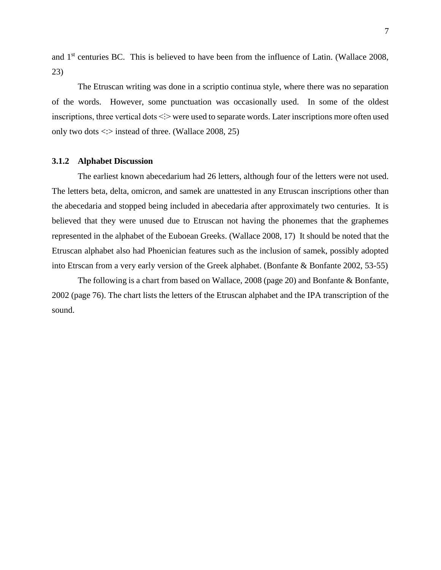and 1<sup>st</sup> centuries BC. This is believed to have been from the influence of Latin. (Wallace 2008, 23)

The Etruscan writing was done in a scriptio continua style, where there was no separation of the words. However, some punctuation was occasionally used. In some of the oldest inscriptions, three vertical dots  $\leq\geq$  were used to separate words. Later inscriptions more often used only two dots  $\langle \cdot \rangle$  instead of three. (Wallace 2008, 25)

#### **3.1.2 Alphabet Discussion**

The earliest known abecedarium had 26 letters, although four of the letters were not used. The letters beta, delta, omicron, and samek are unattested in any Etruscan inscriptions other than the abecedaria and stopped being included in abecedaria after approximately two centuries. It is believed that they were unused due to Etruscan not having the phonemes that the graphemes represented in the alphabet of the Euboean Greeks. (Wallace 2008, 17) It should be noted that the Etruscan alphabet also had Phoenician features such as the inclusion of samek, possibly adopted into Etrscan from a very early version of the Greek alphabet. (Bonfante & Bonfante 2002, 53-55)

The following is a chart from based on Wallace, 2008 (page 20) and Bonfante & Bonfante, 2002 (page 76). The chart lists the letters of the Etruscan alphabet and the IPA transcription of the sound.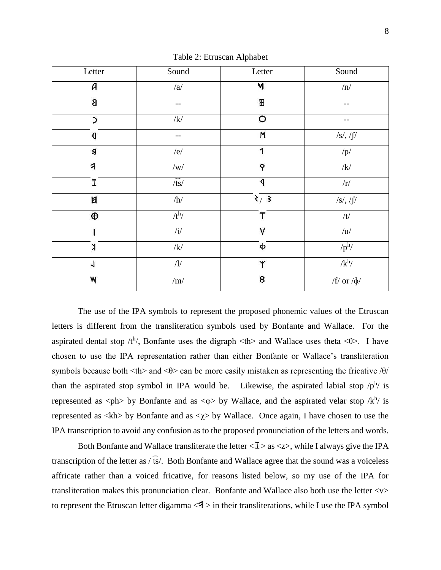<span id="page-17-0"></span>

| Letter        | Sound           | Letter         | Sound            |
|---------------|-----------------|----------------|------------------|
| A             | /a/             | Ч              | $/\mathrm{n}/$   |
| 8             |                 | ⊞              | --               |
| $\mathcal{L}$ | $/\mathbf{k}/$  | $\circ$        | --               |
| q             |                 | M              | /s/, / $\int$ /  |
| 习             | /e/             | 1              | $/p\!/$          |
| 1             | $/{\mathrm w}/$ | P              | /k/              |
| I             | $\sqrt{ts}$     | q              | $\rm /r/$        |
| 目             | $/\hbar/$       | 3/3            | $/s/$ , $/f/$    |
| $\bigoplus$   | $/t^h/$         | T              | $/t\!/$          |
|               | $/\mathrm{i}/$  | V              | /u/              |
| X             | $/\mathbf{k}/$  | φ              | $/p^h/$          |
| 1             | $/\!1\!/$       | Y              | $/k^h/$          |
| W             | $/\mathrm{m}/$  | $\overline{8}$ | /f/ or $/\phi$ / |

Table 2: Etruscan Alphabet

The use of the IPA symbols to represent the proposed phonemic values of the Etruscan letters is different from the transliteration symbols used by Bonfante and Wallace. For the aspirated dental stop  $/t^h$ , Bonfante uses the digraph  $\lt th$  and Wallace uses theta  $\lt \theta$ . I have chosen to use the IPA representation rather than either Bonfante or Wallace's transliteration symbols because both  $\langle th \rangle$  and  $\langle \theta \rangle$  can be more easily mistaken as representing the fricative / $\theta$ / than the aspirated stop symbol in IPA would be. Likewise, the aspirated labial stop  $/p^h$  is represented as  $\langle \phi \rangle$  by Bonfante and as  $\langle \phi \rangle$  by Wallace, and the aspirated velar stop /k<sup>h</sup>/ is represented as  $\langle \text{kh} \rangle$  by Bonfante and as  $\langle \gamma \rangle$  by Wallace. Once again, I have chosen to use the IPA transcription to avoid any confusion as to the proposed pronunciation of the letters and words.

Both Bonfante and Wallace transliterate the letter  $\langle I \rangle$  as  $\langle z \rangle$ , while I always give the IPA transcription of the letter as  $\sqrt{fs}$ . Both Bonfante and Wallace agree that the sound was a voiceless affricate rather than a voiced fricative, for reasons listed below, so my use of the IPA for transliteration makes this pronunciation clear. Bonfante and Wallace also both use the letter <v> to represent the Etruscan letter digamma  $\langle 3 \rangle$  in their transliterations, while I use the IPA symbol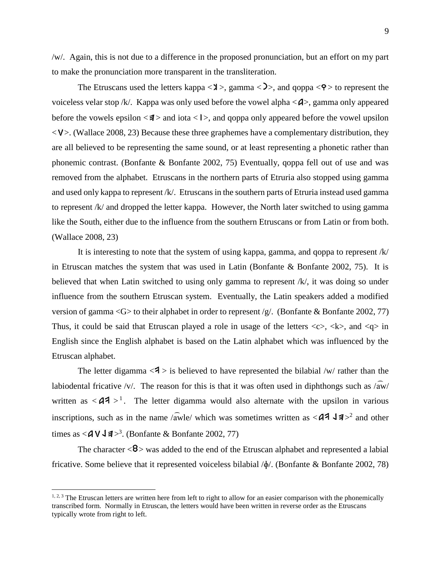/w/. Again, this is not due to a difference in the proposed pronunciation, but an effort on my part to make the pronunciation more transparent in the transliteration.

The Etruscans used the letters kappa  $\langle x \rangle$ , gamma  $\langle y \rangle$ , and goppa  $\langle \varphi \rangle$  to represent the voiceless velar stop /k/. Kappa was only used before the vowel alpha  $\langle A \rangle$ , gamma only appeared before the vowels epsilon  $\langle 1 \rangle$  and iota  $\langle 1 \rangle$ , and goppa only appeared before the vowel upsilon  $\langle \mathsf{V} \rangle$ . (Wallace 2008, 23) Because these three graphemes have a complementary distribution, they are all believed to be representing the same sound, or at least representing a phonetic rather than phonemic contrast. (Bonfante & Bonfante 2002, 75) Eventually, qoppa fell out of use and was removed from the alphabet. Etruscans in the northern parts of Etruria also stopped using gamma and used only kappa to represent /k/. Etruscans in the southern parts of Etruria instead used gamma to represent /k/ and dropped the letter kappa. However, the North later switched to using gamma like the South, either due to the influence from the southern Etruscans or from Latin or from both. (Wallace 2008, 23)

It is interesting to note that the system of using kappa, gamma, and qoppa to represent /k/ in Etruscan matches the system that was used in Latin (Bonfante  $\&$  Bonfante 2002, 75). It is believed that when Latin switched to using only gamma to represent /k/, it was doing so under influence from the southern Etruscan system. Eventually, the Latin speakers added a modified version of gamma <G $>$  to their alphabet in order to represent /g/. (Bonfante & Bonfante 2002, 77) Thus, it could be said that Etruscan played a role in usage of the letters  $\langle c \rangle$ ,  $\langle k \rangle$ , and  $\langle q \rangle$  in English since the English alphabet is based on the Latin alphabet which was influenced by the Etruscan alphabet.

The letter digamma  $\langle 3 \rangle$  is believed to have represented the bilabial /w/ rather than the labiodental fricative /v/. The reason for this is that it was often used in diphthongs such as  $\sqrt{aw}$ written as  $\langle 44 \rangle$ <sup>1</sup>. The letter digamma would also alternate with the upsilon in various inscriptions, such as in the name /awle/ which was sometimes written as  $\langle 44 \rangle$  4  $\neq$  2 and other times as  $\langle$  A V J  $\sharp$  ><sup>3</sup>. (Bonfante & Bonfante 2002, 77)

The character  $\langle 8 \rangle$  was added to the end of the Etruscan alphabet and represented a labial fricative. Some believe that it represented voiceless bilabial /ɸ/. (Bonfante & Bonfante 2002, 78)

 $\overline{a}$ 

 $1, 2, 3$  The Etruscan letters are written here from left to right to allow for an easier comparison with the phonemically transcribed form. Normally in Etruscan, the letters would have been written in reverse order as the Etruscans typically wrote from right to left.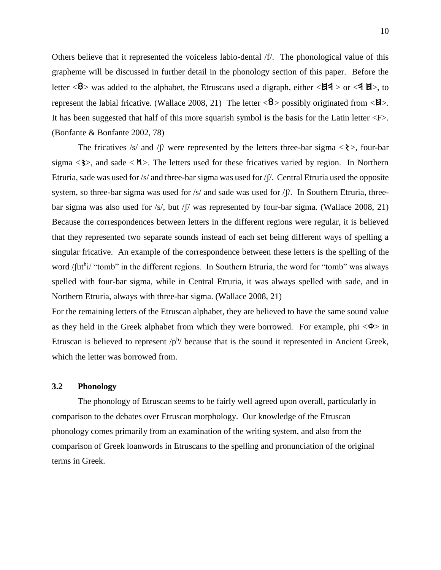Others believe that it represented the voiceless labio-dental /f/. The phonological value of this grapheme will be discussed in further detail in the phonology section of this paper. Before the letter  $\langle 8 \rangle$  was added to the alphabet, the Etruscans used a digraph, either  $\langle 14 \rangle$  or  $\langle 41 \rangle$ , to represent the labial fricative. (Wallace 2008, 21) The letter  $\langle 8 \rangle$  possibly originated from  $\langle 1 \rangle$ . It has been suggested that half of this more squarish symbol is the basis for the Latin letter  $\langle F \rangle$ . (Bonfante & Bonfante 2002, 78)

The fricatives /s/ and /f/ were represented by the letters three-bar sigma  $\langle \rangle$ , four-bar sigma  $\langle 3 \rangle$ , and sade  $\langle M \rangle$ . The letters used for these fricatives varied by region. In Northern Etruria, sade was used for /s/ and three-bar sigma was used for /ʃ/. Central Etruria used the opposite system, so three-bar sigma was used for  $/s/$  and sade was used for  $/f/$ . In Southern Etruria, threebar sigma was also used for /s/, but /f/ was represented by four-bar sigma. (Wallace 2008, 21) Because the correspondences between letters in the different regions were regular, it is believed that they represented two separate sounds instead of each set being different ways of spelling a singular fricative. An example of the correspondence between these letters is the spelling of the word /futhi/ "tomb" in the different regions. In Southern Etruria, the word for "tomb" was always spelled with four-bar sigma, while in Central Etruria, it was always spelled with sade, and in Northern Etruria, always with three-bar sigma. (Wallace 2008, 21)

For the remaining letters of the Etruscan alphabet, they are believed to have the same sound value as they held in the Greek alphabet from which they were borrowed. For example, phi  $\langle \Phi \rangle$  in Etruscan is believed to represent  $/p^h$  because that is the sound it represented in Ancient Greek, which the letter was borrowed from.

#### **3.2 Phonology**

The phonology of Etruscan seems to be fairly well agreed upon overall, particularly in comparison to the debates over Etruscan morphology. Our knowledge of the Etruscan phonology comes primarily from an examination of the writing system, and also from the comparison of Greek loanwords in Etruscans to the spelling and pronunciation of the original terms in Greek.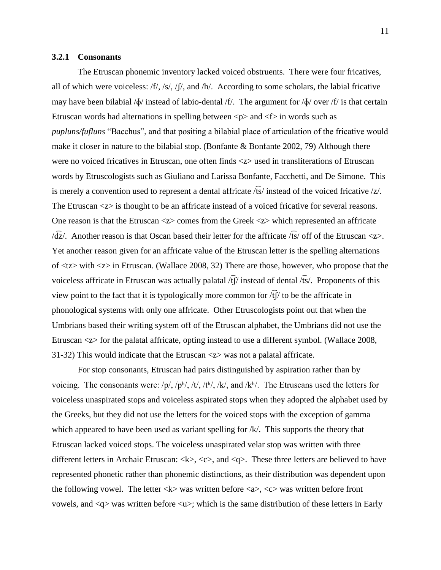#### **3.2.1 Consonants**

The Etruscan phonemic inventory lacked voiced obstruents. There were four fricatives, all of which were voiceless: /f/, /s/, / $\int$ /, and /h/. According to some scholars, the labial fricative may have been bilabial  $\phi$  instead of labio-dental /f/. The argument for  $\phi$  over /f/ is that certain Etruscan words had alternations in spelling between  $\langle p \rangle$  and  $\langle f \rangle$  in words such as *pupluns/fufluns* "Bacchus", and that positing a bilabial place of articulation of the fricative would make it closer in nature to the bilabial stop. (Bonfante  $\&$  Bonfante 2002, 79) Although there were no voiced fricatives in Etruscan, one often finds <z> used in transliterations of Etruscan words by Etruscologists such as Giuliano and Larissa Bonfante, Facchetti, and De Simone. This is merely a convention used to represent a dental affricate  $\sqrt{fs}/$  instead of the voiced fricative  $\sqrt{z}/$ . The Etruscan  $\langle z \rangle$  is thought to be an affricate instead of a voiced fricative for several reasons. One reason is that the Etruscan <z> comes from the Greek <z> which represented an affricate  $\sqrt{dz}/$ . Another reason is that Oscan based their letter for the affricate  $\sqrt{ts}$  off of the Etruscan  $\ll$ . Yet another reason given for an affricate value of the Etruscan letter is the spelling alternations of <tz> with <z> in Etruscan. (Wallace 2008, 32) There are those, however, who propose that the voiceless affricate in Etruscan was actually palatal  $\langle f \hat{f} \rangle$  instead of dental  $\langle f \hat{s} \rangle$ . Proponents of this view point to the fact that it is typologically more common for  $\langle f \hat{f} \rangle$  to be the affricate in phonological systems with only one affricate. Other Etruscologists point out that when the Umbrians based their writing system off of the Etruscan alphabet, the Umbrians did not use the Etruscan <z> for the palatal affricate, opting instead to use a different symbol. (Wallace 2008, 31-32) This would indicate that the Etruscan <z> was not a palatal affricate.

For stop consonants, Etruscan had pairs distinguished by aspiration rather than by voicing. The consonants were:  $/p/$ ,  $/p<sup>h</sup>$ ,  $/t/$ ,  $/t<sup>h</sup>$ ,  $/k/$ , and  $/k<sup>h</sup>$ . The Etruscans used the letters for voiceless unaspirated stops and voiceless aspirated stops when they adopted the alphabet used by the Greeks, but they did not use the letters for the voiced stops with the exception of gamma which appeared to have been used as variant spelling for /k/. This supports the theory that Etruscan lacked voiced stops. The voiceless unaspirated velar stop was written with three different letters in Archaic Etruscan:  $\langle k \rangle$ ,  $\langle c \rangle$ , and  $\langle q \rangle$ . These three letters are believed to have represented phonetic rather than phonemic distinctions, as their distribution was dependent upon the following vowel. The letter  $\langle k \rangle$  was written before  $\langle a \rangle$ ,  $\langle c \rangle$  was written before front vowels, and  $\langle q \rangle$  was written before  $\langle u \rangle$ ; which is the same distribution of these letters in Early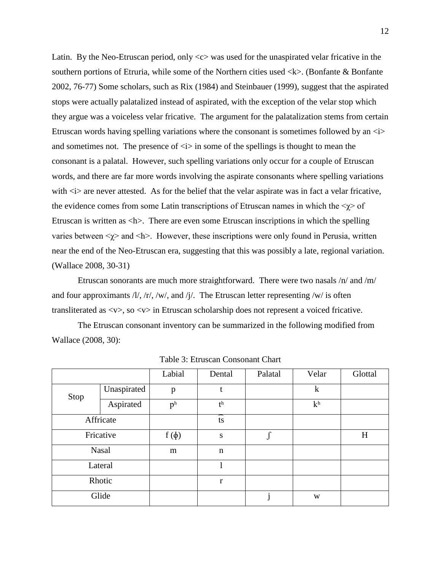Latin. By the Neo-Etruscan period, only  $\langle c \rangle$  was used for the unaspirated velar fricative in the southern portions of Etruria, while some of the Northern cities used  $\langle k \rangle$ . (Bonfante & Bonfante 2002, 76-77) Some scholars, such as Rix (1984) and Steinbauer (1999), suggest that the aspirated stops were actually palatalized instead of aspirated, with the exception of the velar stop which they argue was a voiceless velar fricative. The argument for the palatalization stems from certain Etruscan words having spelling variations where the consonant is sometimes followed by an  $\langle i \rangle$ and sometimes not. The presence of  $\langle i \rangle$  in some of the spellings is thought to mean the consonant is a palatal. However, such spelling variations only occur for a couple of Etruscan words, and there are far more words involving the aspirate consonants where spelling variations with  $\langle \cdot \rangle$  are never attested. As for the belief that the velar aspirate was in fact a velar fricative, the evidence comes from some Latin transcriptions of Etruscan names in which the  $\langle \gamma \rangle$  of Etruscan is written as <h>. There are even some Etruscan inscriptions in which the spelling varies between  $\langle \gamma \rangle$  and  $\langle h \rangle$ . However, these inscriptions were only found in Perusia, written near the end of the Neo-Etruscan era, suggesting that this was possibly a late, regional variation. (Wallace 2008, 30-31)

Etruscan sonorants are much more straightforward. There were two nasals /n/ and /m/ and four approximants  $/1/$ ,  $/r/$ ,  $/$ w $/$ , and  $/1/$ . The Etruscan letter representing  $/$ w $/$  is often transliterated as <v>, so <v> in Etruscan scholarship does not represent a voiced fricative.

The Etruscan consonant inventory can be summarized in the following modified from Wallace (2008, 30):

<span id="page-21-0"></span>

|      |              | Labial         | Dental         | Palatal | Velar          | Glottal |
|------|--------------|----------------|----------------|---------|----------------|---------|
| Stop | Unaspirated  | p              | t              |         | $\mathbf k$    |         |
|      | Aspirated    | p <sup>h</sup> | t <sup>h</sup> |         | k <sup>h</sup> |         |
|      | Affricate    |                | ∽<br>ts        |         |                |         |
|      | Fricative    | $f(\phi)$      | S              |         |                | H       |
|      | <b>Nasal</b> | m              | $\mathbf n$    |         |                |         |
|      | Lateral      |                |                |         |                |         |
|      | Rhotic       |                | $\mathbf{r}$   |         |                |         |
|      | Glide        |                |                |         | W              |         |

Table 3: Etruscan Consonant Chart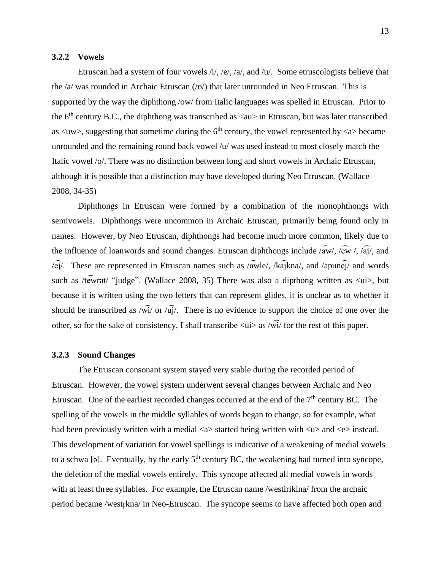#### **3.2.2 Vowels**

Etruscan had a system of four vowels  $/i$ ,  $/e$ ,  $/a$ , and  $/u$ . Some etruscologists believe that the  $\alpha$  was rounded in Archaic Etruscan  $(\alpha)$  that later unrounded in Neo Etruscan. This is supported by the way the diphthong /ow/ from Italic languages was spelled in Etruscan. Prior to the  $6<sup>th</sup>$  century B.C., the diphthong was transcribed as  $\langle au \rangle$  in Etruscan, but was later transcribed as  $\langle uw \rangle$ , suggesting that sometime during the 6<sup>th</sup> century, the vowel represented by  $\langle az \rangle$  became unrounded and the remaining round back vowel /u/ was used instead to most closely match the Italic vowel /o/. There was no distinction between long and short vowels in Archaic Etruscan, although it is possible that a distinction may have developed during Neo Etruscan. (Wallace 2008, 34-35)

Diphthongs in Etruscan were formed by a combination of the monophthongs with semivowels. Diphthongs were uncommon in Archaic Etruscan, primarily being found only in names. However, by Neo Etruscan, diphthongs had become much more common, likely due to the influence of loanwords and sound changes. Etruscan diphthongs include  $\sqrt{\text{aw}}$ ,  $\sqrt{\text{ew}}$  /,  $\sqrt{\text{a}}$  $\sqrt{\text{a}}$ , and  $\sqrt{\hat{ei}}$ . These are represented in Etruscan names such as  $\sqrt{\hat{a}}$ wle/, /k $\hat{a}$ ikna/, and /apun $\hat{ei}$ / and words such as /tewrat/ "judge". (Wallace 2008, 35) There was also a dipthong written as  $\langle \text{ui} \rangle$ , but because it is written using the two letters that can represent glides, it is unclear as to whether it should be transcribed as  $\sqrt{w_1}$  or  $\sqrt{u_1}$ . There is no evidence to support the choice of one over the other, so for the sake of consistency, I shall transcribe  $\langle u \rangle$  as  $\langle w \rangle$  for the rest of this paper.

#### **3.2.3 Sound Changes**

The Etruscan consonant system stayed very stable during the recorded period of Etruscan. However, the vowel system underwent several changes between Archaic and Neo Etruscan. One of the earliest recorded changes occurred at the end of the  $7<sup>th</sup>$  century BC. The spelling of the vowels in the middle syllables of words began to change, so for example, what had been previously written with a medial  $\langle a \rangle$  started being written with  $\langle u \rangle$  and  $\langle e \rangle$  instead. This development of variation for vowel spellings is indicative of a weakening of medial vowels to a schwa [ə]. Eventually, by the early  $5<sup>th</sup>$  century BC, the weakening had turned into syncope, the deletion of the medial vowels entirely. This syncope affected all medial vowels in words with at least three syllables. For example, the Etruscan name /westirikina/ from the archaic period became /westrkna/ in Neo-Etruscan. The syncope seems to have affected both open and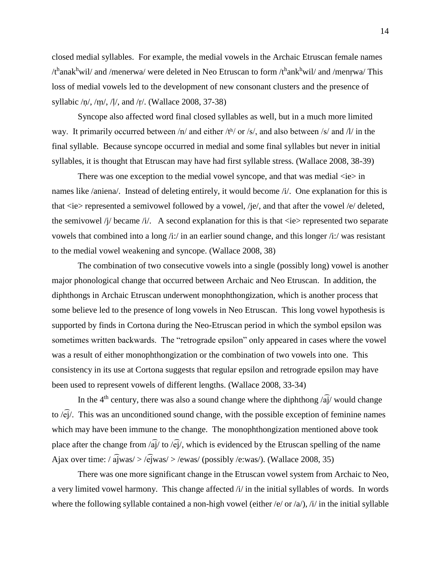closed medial syllables. For example, the medial vowels in the Archaic Etruscan female names  $/t^{\text{h}}$ anak<sup>h</sup>wil/ and /menerwa/ were deleted in Neo Etruscan to form /t<sup>h</sup>ank<sup>h</sup>wil/ and /menr̩wa/ This loss of medial vowels led to the development of new consonant clusters and the presence of syllabic  $/n/$ ,  $/m/$ ,  $/l/$ , and  $/r/$ . (Wallace 2008, 37-38)

Syncope also affected word final closed syllables as well, but in a much more limited way. It primarily occurred between /n/ and either /th/ or /s/, and also between /s/ and /l/ in the final syllable. Because syncope occurred in medial and some final syllables but never in initial syllables, it is thought that Etruscan may have had first syllable stress. (Wallace 2008, 38-39)

There was one exception to the medial vowel syncope, and that was medial  $\langle ie \rangle$  in names like /aniena/. Instead of deleting entirely, it would become /i/. One explanation for this is that  $\langle ie \rangle$  represented a semivowel followed by a vowel, /je/, and that after the vowel /e/ deleted, the semivowel /j/ became /i/. A second explanation for this is that  $\langle ie \rangle$  represented two separate vowels that combined into a long /i:/ in an earlier sound change, and this longer /i:/ was resistant to the medial vowel weakening and syncope. (Wallace 2008, 38)

The combination of two consecutive vowels into a single (possibly long) vowel is another major phonological change that occurred between Archaic and Neo Etruscan. In addition, the diphthongs in Archaic Etruscan underwent monophthongization, which is another process that some believe led to the presence of long vowels in Neo Etruscan. This long vowel hypothesis is supported by finds in Cortona during the Neo-Etruscan period in which the symbol epsilon was sometimes written backwards. The "retrograde epsilon" only appeared in cases where the vowel was a result of either monophthongization or the combination of two vowels into one. This consistency in its use at Cortona suggests that regular epsilon and retrograde epsilon may have been used to represent vowels of different lengths. (Wallace 2008, 33-34)

In the 4<sup>th</sup> century, there was also a sound change where the diphthong  $\sqrt{a}$  would change to  $\langle \hat{ej} \rangle$ . This was an unconditioned sound change, with the possible exception of feminine names which may have been immune to the change. The monophthongization mentioned above took place after the change from  $\sqrt{a_1}$  to  $\sqrt{e_1}$ , which is evidenced by the Etruscan spelling of the name Ajax over time: /  $a\overline{j}$ was/ > / $e\overline{j}$ was/ > /ewas/ (possibly /e:was/). (Wallace 2008, 35)

There was one more significant change in the Etruscan vowel system from Archaic to Neo, a very limited vowel harmony. This change affected /i/ in the initial syllables of words. In words where the following syllable contained a non-high vowel (either /e/ or /a/), /i/ in the initial syllable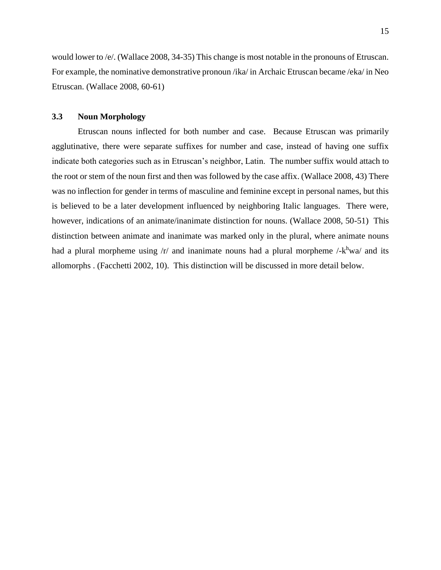would lower to /e/. (Wallace 2008, 34-35) This change is most notable in the pronouns of Etruscan. For example, the nominative demonstrative pronoun /ika/ in Archaic Etruscan became /eka/ in Neo Etruscan. (Wallace 2008, 60-61)

#### **3.3 Noun Morphology**

Etruscan nouns inflected for both number and case. Because Etruscan was primarily agglutinative, there were separate suffixes for number and case, instead of having one suffix indicate both categories such as in Etruscan's neighbor, Latin. The number suffix would attach to the root or stem of the noun first and then was followed by the case affix. (Wallace 2008, 43) There was no inflection for gender in terms of masculine and feminine except in personal names, but this is believed to be a later development influenced by neighboring Italic languages. There were, however, indications of an animate/inanimate distinction for nouns. (Wallace 2008, 50-51) This distinction between animate and inanimate was marked only in the plural, where animate nouns had a plural morpheme using  $/r/$  and inanimate nouns had a plural morpheme  $\frac{\lambda h}{m}$  and its allomorphs . (Facchetti 2002, 10). This distinction will be discussed in more detail below.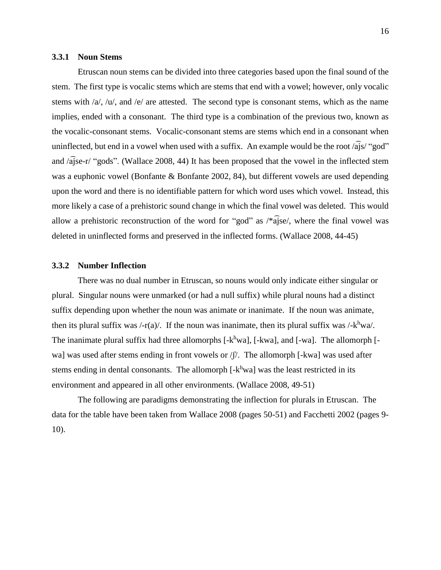#### **3.3.1 Noun Stems**

Etruscan noun stems can be divided into three categories based upon the final sound of the stem. The first type is vocalic stems which are stems that end with a vowel; however, only vocalic stems with /a/, /u/, and /e/ are attested. The second type is consonant stems, which as the name implies, ended with a consonant. The third type is a combination of the previous two, known as the vocalic-consonant stems. Vocalic-consonant stems are stems which end in a consonant when uninflected, but end in a vowel when used with a suffix. An example would be the root  $\sqrt{a}$ js/ "god" and /a͡jse-r/ "gods". (Wallace 2008, 44) It has been proposed that the vowel in the inflected stem was a euphonic vowel (Bonfante & Bonfante 2002, 84), but different vowels are used depending upon the word and there is no identifiable pattern for which word uses which vowel. Instead, this more likely a case of a prehistoric sound change in which the final vowel was deleted. This would allow a prehistoric reconstruction of the word for "god" as  $\sqrt{k}a\hat{i}se$ , where the final vowel was deleted in uninflected forms and preserved in the inflected forms. (Wallace 2008, 44-45)

## **3.3.2 Number Inflection**

There was no dual number in Etruscan, so nouns would only indicate either singular or plural. Singular nouns were unmarked (or had a null suffix) while plural nouns had a distinct suffix depending upon whether the noun was animate or inanimate. If the noun was animate, then its plural suffix was  $\frac{\mu}{2}$  (a). If the noun was inanimate, then its plural suffix was  $\frac{\mu}{\kappa}$ wa. The inanimate plural suffix had three allomorphs [-k<sup>h</sup>wa], [-kwa], and [-wa]. The allomorph [wa] was used after stems ending in front vowels or  $/$  [ $/$ . The allomorph [-kwa] was used after stems ending in dental consonants. The allomorph [-k<sup>h</sup>wa] was the least restricted in its environment and appeared in all other environments. (Wallace 2008, 49-51)

The following are paradigms demonstrating the inflection for plurals in Etruscan. The data for the table have been taken from Wallace 2008 (pages 50-51) and Facchetti 2002 (pages 9- 10).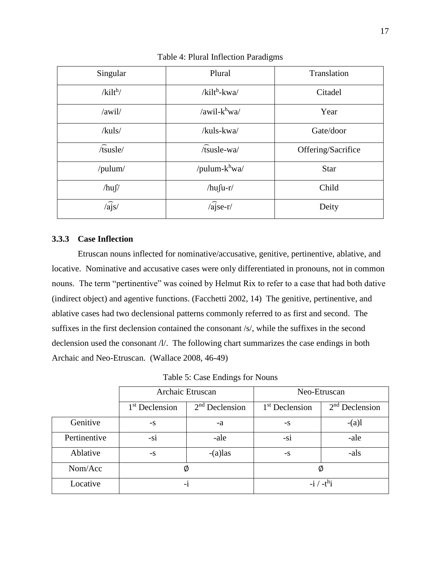<span id="page-26-0"></span>

| Singular          | Plural            | Translation        |
|-------------------|-------------------|--------------------|
| $/kilt^h/$        | $/kilt^h$ -kwa/   | Citadel            |
| /awil/            | /awil- $k^h$ wa/  | Year               |
| /kuls/            | /kuls-kwa/        | Gate/door          |
| $\sqrt{t}$ susle/ | /tsusle-wa/       | Offering/Sacrifice |
| /pulum/           | /pulum- $k^h$ wa/ | <b>Star</b>        |
| $/hu\int$         | $/hu$ fu-r/       | Child              |
| $\sqrt{a}$ js/    | $\sqrt{a}$ jse-r/ | Deity              |

Table 4: Plural Inflection Paradigms

# **3.3.3 Case Inflection**

Etruscan nouns inflected for nominative/accusative, genitive, pertinentive, ablative, and locative. Nominative and accusative cases were only differentiated in pronouns, not in common nouns. The term "pertinentive" was coined by Helmut Rix to refer to a case that had both dative (indirect object) and agentive functions. (Facchetti 2002, 14) The genitive, pertinentive, and ablative cases had two declensional patterns commonly referred to as first and second. The suffixes in the first declension contained the consonant /s/, while the suffixes in the second declension used the consonant /l/. The following chart summarizes the case endings in both Archaic and Neo-Etruscan. (Wallace 2008, 46-49)

Table 5: Case Endings for Nouns

<span id="page-26-1"></span>

|              | Archaic Etruscan           |                  |                            | Neo-Etruscan     |
|--------------|----------------------------|------------------|----------------------------|------------------|
|              | 1 <sup>st</sup> Declension | $2nd$ Declension | 1 <sup>st</sup> Declension | $2nd$ Declension |
| Genitive     | $-S$                       | -a               | $-S$                       | $-(a)l$          |
| Pertinentive | $-S1$                      | -ale             | $-S1$                      | -ale             |
| Ablative     | $-S$                       | $-(a)$ las       | $-S$                       | -als             |
| Nom/Acc      | Ø                          |                  | Ø                          |                  |
| Locative     | $-1$                       |                  |                            | $-i / -t^h$ i    |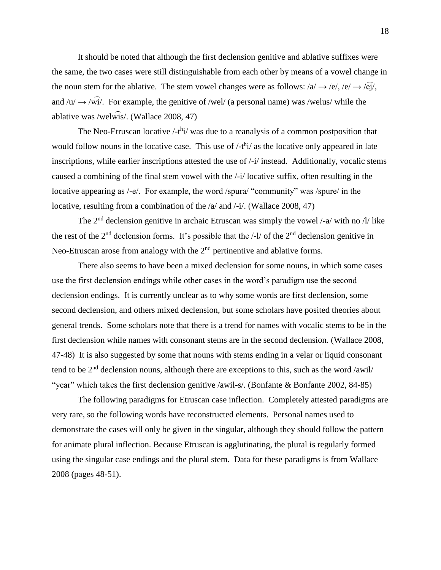It should be noted that although the first declension genitive and ablative suffixes were the same, the two cases were still distinguishable from each other by means of a vowel change in the noun stem for the ablative. The stem vowel changes were as follows:  $/a \rightarrow /e/$ ,  $/e \rightarrow /e\hat{i}/$ , and  $\sqrt{u} \rightarrow \sqrt{w}i$ . For example, the genitive of /wel/ (a personal name) was /welus/ while the ablative was /welw͡is/. (Wallace 2008, 47)

The Neo-Etruscan locative  $\frac{\text{d}}{\text{d}t}$  was due to a reanalysis of a common postposition that would follow nouns in the locative case. This use of  $\ell$ -t<sup>h</sup>i $\ell$  as the locative only appeared in late inscriptions, while earlier inscriptions attested the use of  $\frac{1}{i}$  instead. Additionally, vocalic stems caused a combining of the final stem vowel with the /-i/ locative suffix, often resulting in the locative appearing as /-e/. For example, the word /spura/ "community" was /spure/ in the locative, resulting from a combination of the  $\alpha$  and  $\beta$ -i/. (Wallace 2008, 47)

The  $2<sup>nd</sup>$  declension genitive in archaic Etruscan was simply the vowel /-a/ with no /l/ like the rest of the  $2<sup>nd</sup>$  declension forms. It's possible that the  $/$ - $1/$  of the  $2<sup>nd</sup>$  declension genitive in Neo-Etruscan arose from analogy with the  $2<sup>nd</sup>$  pertinentive and ablative forms.

There also seems to have been a mixed declension for some nouns, in which some cases use the first declension endings while other cases in the word's paradigm use the second declension endings. It is currently unclear as to why some words are first declension, some second declension, and others mixed declension, but some scholars have posited theories about general trends. Some scholars note that there is a trend for names with vocalic stems to be in the first declension while names with consonant stems are in the second declension. (Wallace 2008, 47-48) It is also suggested by some that nouns with stems ending in a velar or liquid consonant tend to be 2<sup>nd</sup> declension nouns, although there are exceptions to this, such as the word /awil/ "year" which takes the first declension genitive /awil-s/. (Bonfante & Bonfante 2002, 84-85)

The following paradigms for Etruscan case inflection. Completely attested paradigms are very rare, so the following words have reconstructed elements. Personal names used to demonstrate the cases will only be given in the singular, although they should follow the pattern for animate plural inflection. Because Etruscan is agglutinating, the plural is regularly formed using the singular case endings and the plural stem. Data for these paradigms is from Wallace 2008 (pages 48-51).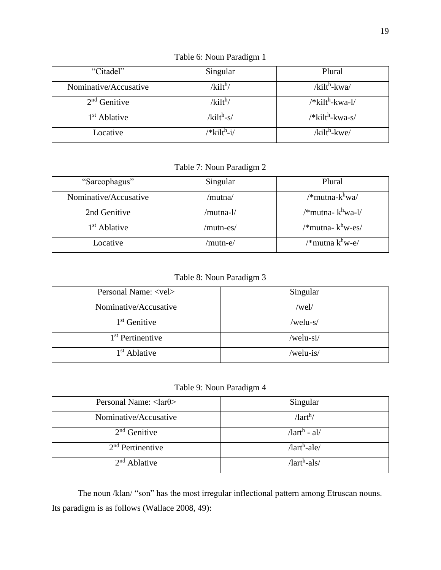<span id="page-28-0"></span>

| "Citadel"             | Singular                | Plural                         |
|-----------------------|-------------------------|--------------------------------|
| Nominative/Accusative | $/kilt^h/$              | $/kilt^h$ -kwa/                |
| $2nd$ Genitive        | /kilt <sup>h</sup> /    | /*kilt <sup>h</sup> -kwa-l/    |
| $1st$ Ablative        | $/kilth-s/$             | $/*$ kilt <sup>h</sup> -kwa-s/ |
| Locative              | /*kilt <sup>h</sup> -i/ | $/$ kilt <sup>h</sup> -kwe $/$ |

Table 6: Noun Paradigm 1

Table 7: Noun Paradigm 2

<span id="page-28-1"></span>

| "Sarcophagus"            | Singular  | Plural                       |
|--------------------------|-----------|------------------------------|
| Nominative/Accusative    | /mutna/   | /*mutna-k <sup>h</sup> wa/   |
| 2nd Genitive             | /mutna-l/ | /*mutna-k <sup>h</sup> wa-l/ |
| 1 <sup>st</sup> Ablative | /mutn-es/ | /*mutna-k <sup>h</sup> w-es/ |
| Locative                 | /mutn-e/  | /*mutna k <sup>h</sup> w-e/  |

Table 8: Noun Paradigm 3

<span id="page-28-2"></span>

| Personal Name: <vel></vel>   | Singular  |
|------------------------------|-----------|
| Nominative/Accusative        | /wel/     |
| $1st$ Genitive               | /welu-s/  |
| 1 <sup>st</sup> Pertinentive | /welu-si/ |
| 1 <sup>st</sup> Ablative     | /welu-is/ |

# Table 9: Noun Paradigm 4

<span id="page-28-3"></span>

| Personal Name: $\langle \text{lar}\theta \rangle$ | Singular                       |
|---------------------------------------------------|--------------------------------|
|                                                   |                                |
| Nominative/Accusative                             | $\pi$ <sup>h</sup> /           |
|                                                   |                                |
| $2nd$ Genitive                                    | $\pi$ <sup>h</sup> - al/       |
|                                                   |                                |
| $2nd$ Pertinentive                                | $/$ lart <sup>h</sup> -ale $/$ |
|                                                   |                                |
| $2nd$ Ablative                                    | $\pi$ <sup>h</sup> -als/       |
|                                                   |                                |

The noun /klan/ "son" has the most irregular inflectional pattern among Etruscan nouns. Its paradigm is as follows (Wallace 2008, 49):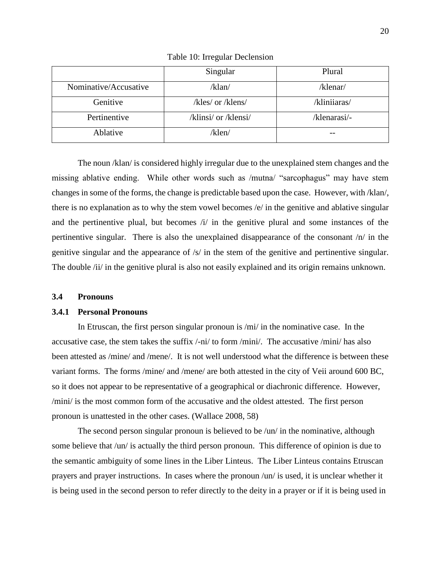<span id="page-29-0"></span>

|                       | Singular             | Plural       |
|-----------------------|----------------------|--------------|
| Nominative/Accusative | /klan/               | /klenar/     |
| Genitive              | /kles/ or /klens/    | /kliniiaras/ |
| Pertinentive          | /klinsi/ or /klensi/ | /klenarasi/- |
| Ablative              | /klen/               |              |

Table 10: Irregular Declension

The noun /klan/ is considered highly irregular due to the unexplained stem changes and the missing ablative ending. While other words such as /mutna/ "sarcophagus" may have stem changes in some of the forms, the change is predictable based upon the case. However, with /klan/, there is no explanation as to why the stem vowel becomes  $/e$  in the genitive and ablative singular and the pertinentive plual, but becomes /i/ in the genitive plural and some instances of the pertinentive singular. There is also the unexplained disappearance of the consonant /n/ in the genitive singular and the appearance of  $/s/$  in the stem of the genitive and pertinentive singular. The double /ii/ in the genitive plural is also not easily explained and its origin remains unknown.

### **3.4 Pronouns**

#### **3.4.1 Personal Pronouns**

In Etruscan, the first person singular pronoun is /mi/ in the nominative case. In the accusative case, the stem takes the suffix /-ni/ to form /mini/. The accusative /mini/ has also been attested as /mine/ and /mene/. It is not well understood what the difference is between these variant forms. The forms /mine/ and /mene/ are both attested in the city of Veii around 600 BC, so it does not appear to be representative of a geographical or diachronic difference. However, /mini/ is the most common form of the accusative and the oldest attested. The first person pronoun is unattested in the other cases. (Wallace 2008, 58)

The second person singular pronoun is believed to be /un/ in the nominative, although some believe that /un/ is actually the third person pronoun. This difference of opinion is due to the semantic ambiguity of some lines in the Liber Linteus. The Liber Linteus contains Etruscan prayers and prayer instructions. In cases where the pronoun /un/ is used, it is unclear whether it is being used in the second person to refer directly to the deity in a prayer or if it is being used in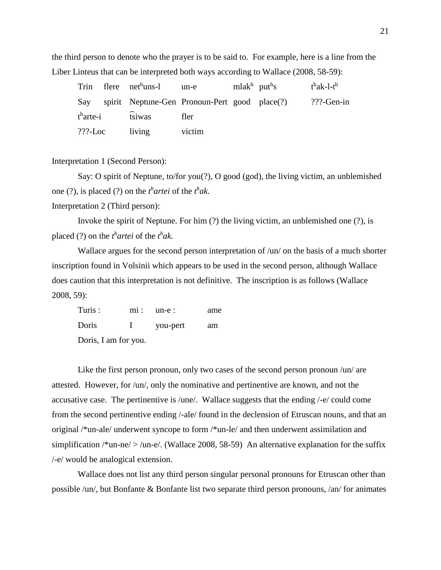the third person to denote who the prayer is to be said to. For example, here is a line from the Liber Linteus that can be interpreted both ways according to Wallace (2008, 58-59):

|            | Trin flere nethuns-l un-e mlakh puths             |        |  | $t^h$ ak-l-t <sup>h</sup> |
|------------|---------------------------------------------------|--------|--|---------------------------|
|            | Say spirit Neptune-Gen Pronoun-Pert good place(?) |        |  | $?$ ??-Gen-in             |
|            | $th$ arte-i $\widehat{tsi}$ was                   | fler   |  |                           |
| $???$ -Loc | living                                            | victim |  |                           |

Interpretation 1 (Second Person):

Say: O spirit of Neptune, to/for you(?), O good (god), the living victim, an unblemished one (?), is placed (?) on the  $t^h$  *artei* of the  $t^h$  *ak*.

Interpretation 2 (Third person):

Invoke the spirit of Neptune. For him (?) the living victim, an unblemished one (?), is placed (?) on the  $t^h$  *artei* of the  $t^h$ *ak*.

Wallace argues for the second person interpretation of /un/ on the basis of a much shorter inscription found in Volsinii which appears to be used in the second person, although Wallace does caution that this interpretation is not definitive. The inscription is as follows (Wallace 2008, 59):

| Turis:               |              | $mi:$ un-e: | ame |
|----------------------|--------------|-------------|-----|
| Doris                | $\mathbf{I}$ | you-pert    | am  |
| Doris, I am for you. |              |             |     |

Like the first person pronoun, only two cases of the second person pronoun /un/ are attested. However, for /un/, only the nominative and pertinentive are known, and not the accusative case. The pertinentive is /une/. Wallace suggests that the ending /-e/ could come from the second pertinentive ending /-ale/ found in the declension of Etruscan nouns, and that an original /\*un-ale/ underwent syncope to form /\*un-le/ and then underwent assimilation and simplification /\*un-ne/ > /un-e/. (Wallace 2008, 58-59) An alternative explanation for the suffix /-e/ would be analogical extension.

Wallace does not list any third person singular personal pronouns for Etruscan other than possible /un/, but Bonfante & Bonfante list two separate third person pronouns, /an/ for animates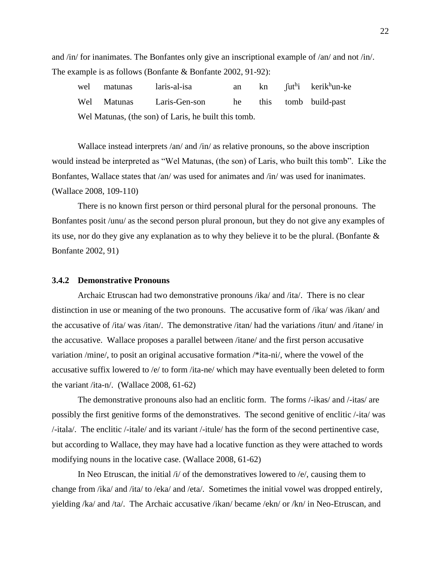and /in/ for inanimates. The Bonfantes only give an inscriptional example of /an/ and not /in/. The example is as follows (Bonfante & Bonfante 2002, 91-92):

| wel matunas | laris-al-isa                                         | an |  | kn fut <sup>h</sup> i kerik <sup>h</sup> un-ke |
|-------------|------------------------------------------------------|----|--|------------------------------------------------|
|             | Wel Matunas Laris-Gen-son                            | he |  | this tomb build-past                           |
|             | Wel Matunas, (the son) of Laris, he built this tomb. |    |  |                                                |

Wallace instead interprets /an/ and /in/ as relative pronouns, so the above inscription would instead be interpreted as "Wel Matunas, (the son) of Laris, who built this tomb". Like the Bonfantes, Wallace states that /an/ was used for animates and /in/ was used for inanimates. (Wallace 2008, 109-110)

There is no known first person or third personal plural for the personal pronouns. The Bonfantes posit /unu/ as the second person plural pronoun, but they do not give any examples of its use, nor do they give any explanation as to why they believe it to be the plural. (Bonfante & Bonfante 2002, 91)

#### **3.4.2 Demonstrative Pronouns**

Archaic Etruscan had two demonstrative pronouns /ika/ and /ita/. There is no clear distinction in use or meaning of the two pronouns. The accusative form of /ika/ was /ikan/ and the accusative of /ita/ was /itan/. The demonstrative /itan/ had the variations /itun/ and /itane/ in the accusative. Wallace proposes a parallel between /itane/ and the first person accusative variation /mine/, to posit an original accusative formation /\*ita-ni/, where the vowel of the accusative suffix lowered to /e/ to form /ita-ne/ which may have eventually been deleted to form the variant /ita-n/. (Wallace 2008, 61-62)

The demonstrative pronouns also had an enclitic form. The forms /-ikas/ and /-itas/ are possibly the first genitive forms of the demonstratives. The second genitive of enclitic /-ita/ was /-itala/. The enclitic /-itale/ and its variant /-itule/ has the form of the second pertinentive case, but according to Wallace, they may have had a locative function as they were attached to words modifying nouns in the locative case. (Wallace 2008, 61-62)

In Neo Etruscan, the initial /i/ of the demonstratives lowered to /e/, causing them to change from /ika/ and /ita/ to /eka/ and /eta/. Sometimes the initial vowel was dropped entirely, yielding /ka/ and /ta/. The Archaic accusative /ikan/ became /ekn/ or /kn/ in Neo-Etruscan, and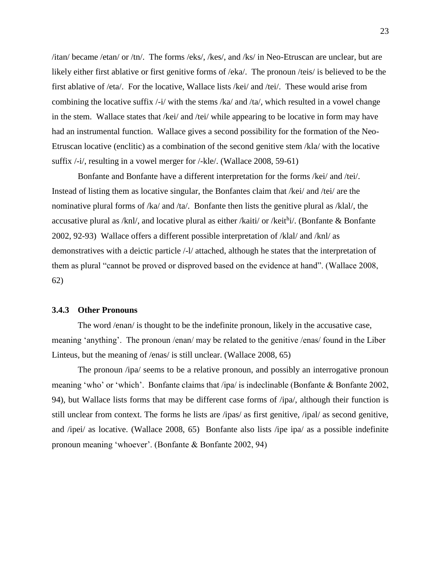/itan/ became /etan/ or /tn/. The forms /eks/, /kes/, and /ks/ in Neo-Etruscan are unclear, but are likely either first ablative or first genitive forms of /eka/. The pronoun /teis/ is believed to be the first ablative of /eta/. For the locative, Wallace lists /kei/ and /tei/. These would arise from combining the locative suffix  $\frac{1}{1}$  with the stems  $\frac{1}{k}$  and  $\frac{1}{k}$ , which resulted in a vowel change in the stem. Wallace states that /kei/ and /tei/ while appearing to be locative in form may have had an instrumental function. Wallace gives a second possibility for the formation of the Neo-Etruscan locative (enclitic) as a combination of the second genitive stem /kla/ with the locative suffix /-i/, resulting in a vowel merger for /-kle/. (Wallace 2008, 59-61)

Bonfante and Bonfante have a different interpretation for the forms /kei/ and /tei/. Instead of listing them as locative singular, the Bonfantes claim that /kei/ and /tei/ are the nominative plural forms of /ka/ and /ta/. Bonfante then lists the genitive plural as /klal/, the accusative plural as /knl/, and locative plural as either /kaiti/ or /keithj/. (Bonfante & Bonfante 2002, 92-93) Wallace offers a different possible interpretation of /klal/ and /knl/ as demonstratives with a deictic particle /-l/ attached, although he states that the interpretation of them as plural "cannot be proved or disproved based on the evidence at hand". (Wallace 2008, 62)

#### **3.4.3 Other Pronouns**

The word /enan/ is thought to be the indefinite pronoun, likely in the accusative case, meaning 'anything'. The pronoun /enan/ may be related to the genitive /enas/ found in the Liber Linteus, but the meaning of /enas/ is still unclear. (Wallace 2008, 65)

The pronoun /ipa/ seems to be a relative pronoun, and possibly an interrogative pronoun meaning 'who' or 'which'. Bonfante claims that /ipa/ is indeclinable (Bonfante & Bonfante 2002, 94), but Wallace lists forms that may be different case forms of /ipa/, although their function is still unclear from context. The forms he lists are /ipas/ as first genitive, /ipal/ as second genitive, and /ipei/ as locative. (Wallace 2008, 65) Bonfante also lists /ipe ipa/ as a possible indefinite pronoun meaning 'whoever'. (Bonfante & Bonfante 2002, 94)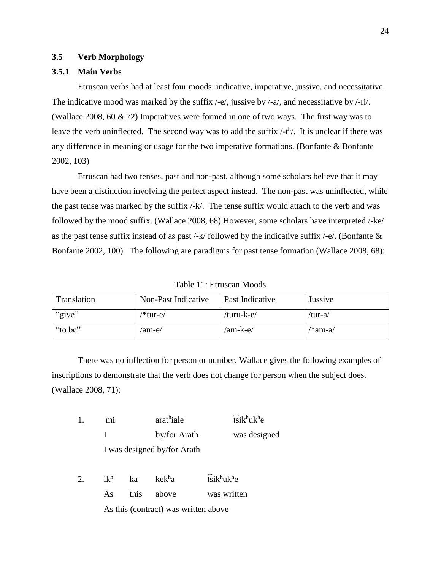## **3.5 Verb Morphology**

# **3.5.1 Main Verbs**

Etruscan verbs had at least four moods: indicative, imperative, jussive, and necessitative. The indicative mood was marked by the suffix /-e/, jussive by /-a/, and necessitative by /-ri/. (Wallace 2008, 60 & 72) Imperatives were formed in one of two ways. The first way was to leave the verb uninflected. The second way was to add the suffix  $\frac{t}{t}$ . It is unclear if there was any difference in meaning or usage for the two imperative formations. (Bonfante & Bonfante 2002, 103)

Etruscan had two tenses, past and non-past, although some scholars believe that it may have been a distinction involving the perfect aspect instead. The non-past was uninflected, while the past tense was marked by the suffix /-k/. The tense suffix would attach to the verb and was followed by the mood suffix. (Wallace 2008, 68) However, some scholars have interpreted /-ke/ as the past tense suffix instead of as past /-k/ followed by the indicative suffix /-e/. (Bonfante & Bonfante 2002, 100) The following are paradigms for past tense formation (Wallace 2008, 68):

|  | Table 11: Etruscan Moods |  |
|--|--------------------------|--|
|--|--------------------------|--|

<span id="page-33-0"></span>

| Translation | Non-Past Indicative | Past Indicative | Jussive |
|-------------|---------------------|-----------------|---------|
| "give"      | /*tur-e/            | /turu-k-e/      | /tur-a/ |
| "to be"     | /am-e/              | /am-k-e/        | /*am-a/ |

There was no inflection for person or number. Wallace gives the following examples of inscriptions to demonstrate that the verb does not change for person when the subject does. (Wallace 2008, 71):

|    | mi     |      | arathiale                            | $\widehat{\text{tsik}}^{\text{h}}$ uk $^{\text{h}}$ e |
|----|--------|------|--------------------------------------|-------------------------------------------------------|
|    |        |      | by/for Arath                         | was designed                                          |
|    |        |      | I was designed by/for Arath          |                                                       |
| 2. | $ik^h$ | ka   | kek <sup>h</sup> a                   | $\widehat{\text{tsik}}^{\text{h}}$ uk <sup>h</sup> e  |
|    | As     | this | above                                | was written                                           |
|    |        |      | As this (contract) was written above |                                                       |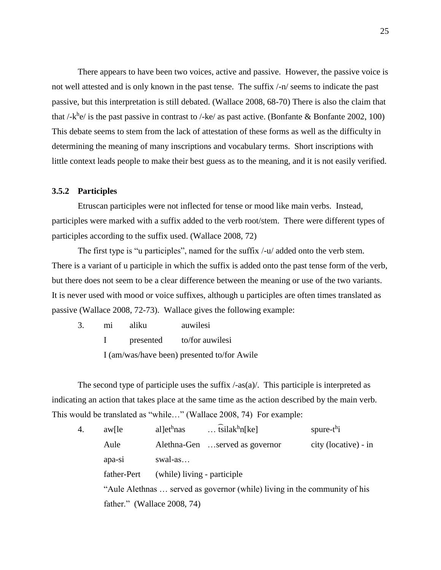There appears to have been two voices, active and passive. However, the passive voice is not well attested and is only known in the past tense. The suffix /-n/ seems to indicate the past passive, but this interpretation is still debated. (Wallace 2008, 68-70) There is also the claim that that /-k<sup>h</sup>e/ is the past passive in contrast to /-ke/ as past active. (Bonfante & Bonfante 2002, 100) This debate seems to stem from the lack of attestation of these forms as well as the difficulty in determining the meaning of many inscriptions and vocabulary terms. Short inscriptions with little context leads people to make their best guess as to the meaning, and it is not easily verified.

## **3.5.2 Participles**

Etruscan participles were not inflected for tense or mood like main verbs. Instead, participles were marked with a suffix added to the verb root/stem. There were different types of participles according to the suffix used. (Wallace 2008, 72)

The first type is "u participles", named for the suffix /-u/ added onto the verb stem. There is a variant of u participle in which the suffix is added onto the past tense form of the verb, but there does not seem to be a clear difference between the meaning or use of the two variants. It is never used with mood or voice suffixes, although u participles are often times translated as passive (Wallace 2008, 72-73). Wallace gives the following example:

| 3. | m1 | aliku     | auwilesi                                    |
|----|----|-----------|---------------------------------------------|
|    |    | presented | to/for auwilesi                             |
|    |    |           | I (am/was/have been) presented to/for Awile |

The second type of participle uses the suffix  $/-\text{as}(a)$ . This participle is interpreted as indicating an action that takes place at the same time as the action described by the main verb. This would be translated as "while…" (Wallace 2008, 74) For example:

| 4. | $aw[$ le    | al let <sup>h</sup> nas     | $\ldots$ tsilak <sup>h</sup> n[ke]                                        | spure- $t^h$ i       |
|----|-------------|-----------------------------|---------------------------------------------------------------------------|----------------------|
|    | Aule        |                             | Alethna-Gen served as governor                                            | city (locative) - in |
|    | apa-si      | swal-as                     |                                                                           |                      |
|    | father-Pert | (while) living - participle |                                                                           |                      |
|    |             |                             | "Aule Alethnas  served as governor (while) living in the community of his |                      |
|    |             | father." (Wallace 2008, 74) |                                                                           |                      |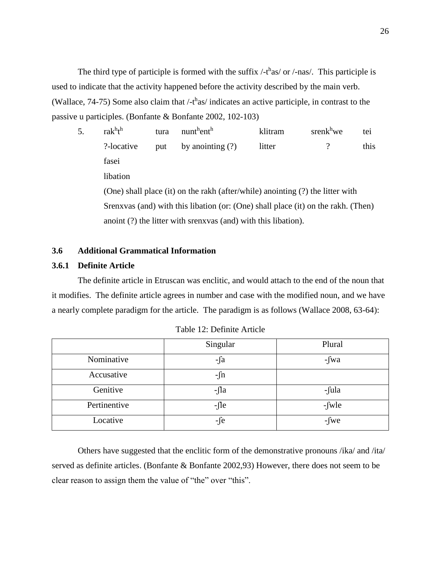The third type of participle is formed with the suffix  $\frac{\text{ }-t^{\text{h}}\text{as}}{\text{ }0}$  or  $\frac{\text{}}{\text{.}}$  This participle is used to indicate that the activity happened before the activity described by the main verb. (Wallace,  $74-75$ ) Some also claim that  $\frac{\text{th}}{1}$  indicates an active participle, in contrast to the passive u participles. (Bonfante & Bonfante 2002, 102-103)

5. rak<sup>h</sup>t<sup>h</sup> tura nunt<sup>h</sup>ent<sup>h</sup> klitram srenk<sup>h</sup>we tei ?-locative put by anointing (?) litter ? this fasei libation (One) shall place (it) on the rakh (after/while) anointing (?) the litter with Srenxvas (and) with this libation (or: (One) shall place (it) on the rakh. (Then) anoint (?) the litter with srenxvas (and) with this libation).

# **3.6 Additional Grammatical Information**

## **3.6.1 Definite Article**

The definite article in Etruscan was enclitic, and would attach to the end of the noun that it modifies. The definite article agrees in number and case with the modified noun, and we have a nearly complete paradigm for the article. The paradigm is as follows (Wallace 2008, 63-64):

<span id="page-35-0"></span>

|              | Singular   | Plural      |
|--------------|------------|-------------|
| Nominative   | $-\int a$  | $-\int w a$ |
| Accusative   | $-\int n$  |             |
| Genitive     | $-\iint a$ | -fula       |
| Pertinentive | $-\int$    | $-fwle$     |
| Locative     | $-f$ e     | $-fwe$      |

|  |  | Table 12: Definite Article |  |
|--|--|----------------------------|--|
|--|--|----------------------------|--|

Others have suggested that the enclitic form of the demonstrative pronouns /ika/ and /ita/ served as definite articles. (Bonfante & Bonfante 2002,93) However, there does not seem to be clear reason to assign them the value of "the" over "this".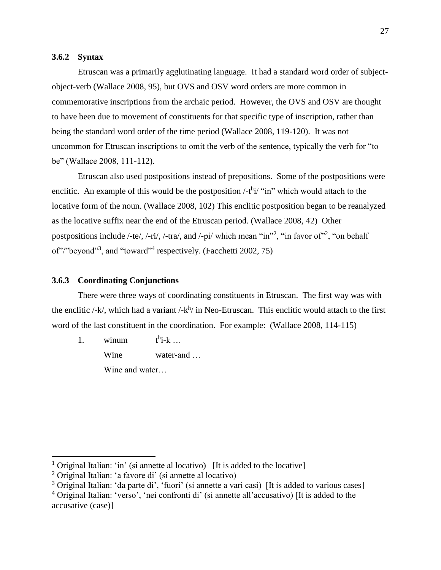### **3.6.2 Syntax**

Etruscan was a primarily agglutinating language. It had a standard word order of subjectobject-verb (Wallace 2008, 95), but OVS and OSV word orders are more common in commemorative inscriptions from the archaic period. However, the OVS and OSV are thought to have been due to movement of constituents for that specific type of inscription, rather than being the standard word order of the time period (Wallace 2008, 119-120). It was not uncommon for Etruscan inscriptions to omit the verb of the sentence, typically the verb for "to be" (Wallace 2008, 111-112).

Etruscan also used postpositions instead of prepositions. Some of the postpositions were enclitic. An example of this would be the postposition  $\frac{\text{th}}{\text{i}}$  "in" which would attach to the locative form of the noun. (Wallace 2008, 102) This enclitic postposition began to be reanalyzed as the locative suffix near the end of the Etruscan period. (Wallace 2008, 42) Other postpositions include /-te/, /-ri/, /-tra/, and /-pi/ which mean "in"<sup>2</sup>, "in favor of"<sup>2</sup>, "on behalf of"/"beyond"<sup>3</sup>, and "toward"<sup>4</sup> respectively. (Facchetti 2002, 75)

#### **3.6.3 Coordinating Conjunctions**

There were three ways of coordinating constituents in Etruscan. The first way was with the enclitic  $\frac{1}{k}$ , which had a variant  $\frac{1}{k}$  in Neo-Etruscan. This enclitic would attach to the first word of the last constituent in the coordination. For example: (Wallace 2008, 114-115)

1. winum  $h_{i-k}$  ...

Wine water-and …

Wine and water…

 $\overline{a}$ 

<sup>&</sup>lt;sup>1</sup> Original Italian: 'in' (si annette al locativo) [It is added to the locative]

<sup>2</sup> Original Italian: 'a favore di' (si annette al locativo)

<sup>&</sup>lt;sup>3</sup> Original Italian: 'da parte di', 'fuori' (si annette a vari casi) [It is added to various cases]

<sup>&</sup>lt;sup>4</sup> Original Italian: 'verso', 'nei confronti di' (si annette all'accusativo) IIt is added to the accusative (case)]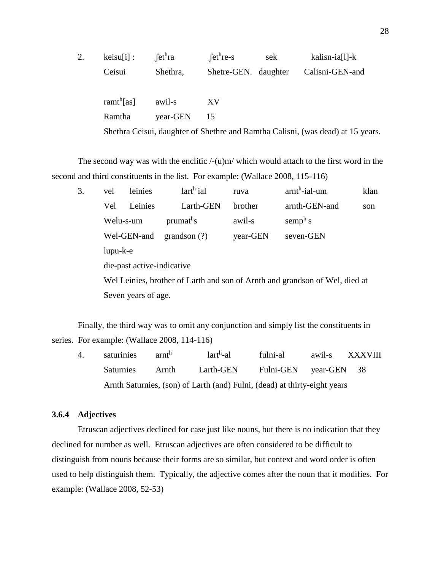| $keisu[i]$ :           | fct <sup>h</sup> ra | $fcthre-s$           | sek | kalisn-ia[l]-k                                                                  |  |
|------------------------|---------------------|----------------------|-----|---------------------------------------------------------------------------------|--|
| Ceisui                 | Shethra,            | Shetre-GEN. daughter |     | Calisni-GEN-and                                                                 |  |
| ramt <sup>h</sup> [as] | awil-s              | XV                   |     |                                                                                 |  |
| Ramtha                 | year-GEN            | 15                   |     |                                                                                 |  |
|                        |                     |                      |     | Shethra Ceisui, daughter of Shethre and Ramtha Calisni, (was dead) at 15 years. |  |

The second way was with the enclitic  $/-(u)m/$  which would attach to the first word in the second and third constituents in the list. For example: (Wallace 2008, 115-116)

| 3. | vel                                                                         | leinies                    | lart <sup>h-</sup> ial | ruva     | $arnth$ -ial-um | klan |  |
|----|-----------------------------------------------------------------------------|----------------------------|------------------------|----------|-----------------|------|--|
|    | Vel                                                                         | Leinies                    | Larth-GEN              | brother  | arnth-GEN-and   | son  |  |
|    | Welu-s-um<br>Wel-GEN-and                                                    |                            | prumat <sup>h</sup> s  | awil-s   | $semph$ s       |      |  |
|    |                                                                             |                            | grandson $(?)$         | year-GEN | seven-GEN       |      |  |
|    | $l$ upu- $k$ -e                                                             |                            |                        |          |                 |      |  |
|    |                                                                             | die-past active-indicative |                        |          |                 |      |  |
|    | Wel Leinies, brother of Larth and son of Arnth and grandson of Wel, died at |                            |                        |          |                 |      |  |
|    | Seven years of age.                                                         |                            |                        |          |                 |      |  |

Finally, the third way was to omit any conjunction and simply list the constituents in series. For example: (Wallace 2008, 114-116)

4. saturinies arnt<sup>h</sup>  $lar<sup>h</sup>-al$ fulni-al awil-s XXXVIII Saturnies Arnth Larth-GEN Fulni-GEN year-GEN 38 Arnth Saturnies, (son) of Larth (and) Fulni, (dead) at thirty-eight years

### **3.6.4 Adjectives**

Etruscan adjectives declined for case just like nouns, but there is no indication that they declined for number as well. Etruscan adjectives are often considered to be difficult to distinguish from nouns because their forms are so similar, but context and word order is often used to help distinguish them. Typically, the adjective comes after the noun that it modifies. For example: (Wallace 2008, 52-53)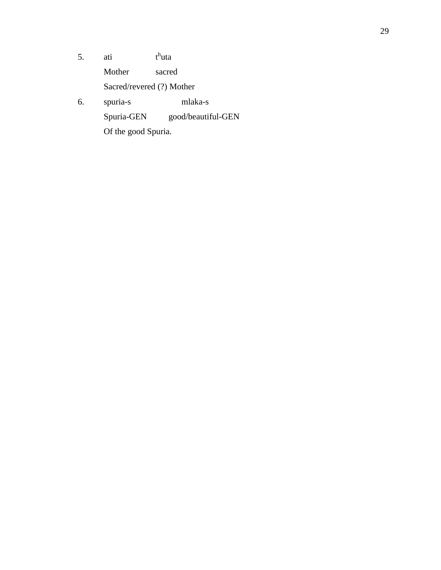- 5. ati <sup>h</sup>uta Mother sacred Sacred/revered (?) Mother 6. spuria-s mlaka-s
	- Spuria-GEN good/beautiful-GEN
		- Of the good Spuria.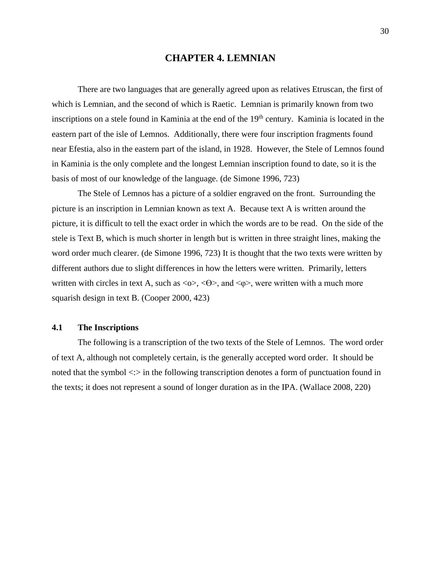# **CHAPTER 4. LEMNIAN**

There are two languages that are generally agreed upon as relatives Etruscan, the first of which is Lemnian, and the second of which is Raetic. Lemnian is primarily known from two inscriptions on a stele found in Kaminia at the end of the 19<sup>th</sup> century. Kaminia is located in the eastern part of the isle of Lemnos. Additionally, there were four inscription fragments found near Efestia, also in the eastern part of the island, in 1928. However, the Stele of Lemnos found in Kaminia is the only complete and the longest Lemnian inscription found to date, so it is the basis of most of our knowledge of the language. (de Simone 1996, 723)

The Stele of Lemnos has a picture of a soldier engraved on the front. Surrounding the picture is an inscription in Lemnian known as text A. Because text A is written around the picture, it is difficult to tell the exact order in which the words are to be read. On the side of the stele is Text B, which is much shorter in length but is written in three straight lines, making the word order much clearer. (de Simone 1996, 723) It is thought that the two texts were written by different authors due to slight differences in how the letters were written. Primarily, letters written with circles in text A, such as  $\langle \infty, \langle \Theta \rangle$ , and  $\langle \phi \rangle$ , were written with a much more squarish design in text B. (Cooper 2000, 423)

#### **4.1 The Inscriptions**

The following is a transcription of the two texts of the Stele of Lemnos. The word order of text A, although not completely certain, is the generally accepted word order. It should be noted that the symbol <:> in the following transcription denotes a form of punctuation found in the texts; it does not represent a sound of longer duration as in the IPA. (Wallace 2008, 220)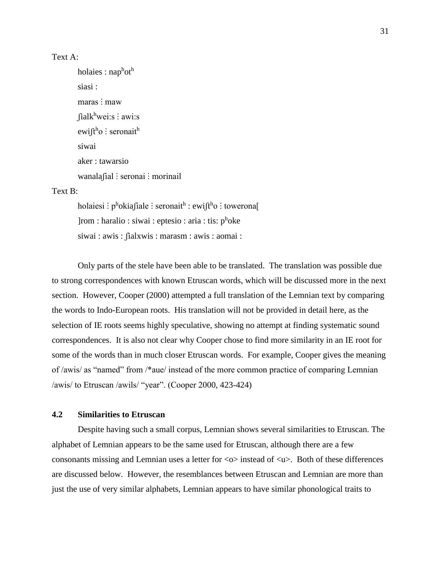### Text A:

holaies : nap<sup>h</sup>ot<sup>h</sup> siasi : maras : maw  $[ialk^hwei:s : awi:s]$ ewi∫t<sup>h</sup>o ∶ seronait<sup>h</sup> siwai aker : tawarsio wanalafial : seronai : morinail

### Text B:

holaiesi : pʰokiaʃiale : seronaitʰ : ewiʃtʰo : towerona[ ]rom : haralio : siwai : eptesio : aria : tis: phoke siwai : awis : fialxwis : marasm : awis : aomai :

Only parts of the stele have been able to be translated. The translation was possible due to strong correspondences with known Etruscan words, which will be discussed more in the next section. However, Cooper (2000) attempted a full translation of the Lemnian text by comparing the words to Indo-European roots. His translation will not be provided in detail here, as the selection of IE roots seems highly speculative, showing no attempt at finding systematic sound correspondences. It is also not clear why Cooper chose to find more similarity in an IE root for some of the words than in much closer Etruscan words. For example, Cooper gives the meaning of /awis/ as "named" from /\*aue/ instead of the more common practice of comparing Lemnian /awis/ to Etruscan /awils/ "year". (Cooper 2000, 423-424)

## **4.2 Similarities to Etruscan**

Despite having such a small corpus, Lemnian shows several similarities to Etruscan. The alphabet of Lemnian appears to be the same used for Etruscan, although there are a few consonants missing and Lemnian uses a letter for  $\langle \circ \rangle$  instead of  $\langle u \rangle$ . Both of these differences are discussed below. However, the resemblances between Etruscan and Lemnian are more than just the use of very similar alphabets, Lemnian appears to have similar phonological traits to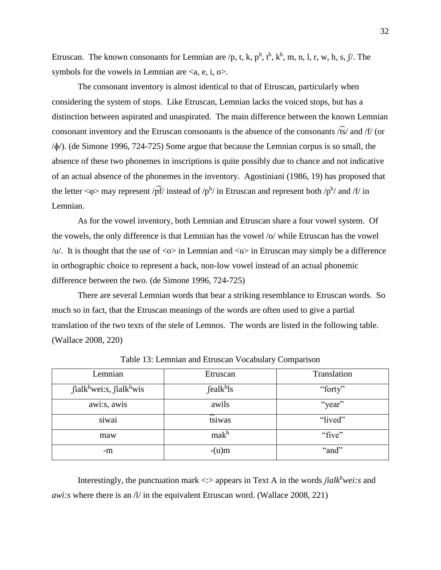Etruscan. The known consonants for Lemnian are /p, t, k,  $p^h$ ,  $t^h$ ,  $k^h$ , m, n, l, r, w, h, s,  $\int$ . The symbols for the vowels in Lemnian are  $\langle a, e, i, o \rangle$ .

The consonant inventory is almost identical to that of Etruscan, particularly when considering the system of stops. Like Etruscan, Lemnian lacks the voiced stops, but has a distinction between aspirated and unaspirated. The main difference between the known Lemnian consonant inventory and the Etruscan consonants is the absence of the consonants /͡ts/ and /f/ (or /ɸ/). (de Simone 1996, 724-725) Some argue that because the Lemnian corpus is so small, the absence of these two phonemes in inscriptions is quite possibly due to chance and not indicative of an actual absence of the phonemes in the inventory. Agostiniani (1986, 19) has proposed that the letter  $\langle \varphi \rangle$  may represent / $\rho f$ / instead of / $p^h$ / in Etruscan and represent both / $p^h$ / and /f/ in Lemnian.

As for the vowel inventory, both Lemnian and Etruscan share a four vowel system. Of the vowels, the only difference is that Lemnian has the vowel /o/ while Etruscan has the vowel  $/u'$ . It is thought that the use of  $\langle \infty \rangle$  in Lemnian and  $\langle u \rangle$  in Etruscan may simply be a difference in orthographic choice to represent a back, non-low vowel instead of an actual phonemic difference between the two. (de Simone 1996, 724-725)

There are several Lemnian words that bear a striking resemblance to Etruscan words. So much so in fact, that the Etruscan meanings of the words are often used to give a partial translation of the two texts of the stele of Lemnos. The words are listed in the following table. (Wallace 2008, 220)

| Lemnian                                                      | Etruscan              | Translation |
|--------------------------------------------------------------|-----------------------|-------------|
| $\int$ ialk <sup>h</sup> wei:s, $\int$ ialk <sup>h</sup> wis | fealk <sup>h</sup> ls | "forty"     |
| awi:s, awis                                                  | awils                 | "year"      |
| siwai                                                        | tsiwas                | "lived"     |
| maw                                                          | mak <sup>h</sup>      | "five"      |
| -m                                                           | $-(u)m$               | "and"       |

Table 13: Lemnian and Etruscan Vocabulary Comparison

Interestingly, the punctuation mark <:> appears in Text A in the words *ʃialk<sup>h</sup>wei:s* and *awi:s* where there is an /l/ in the equivalent Etruscan word. (Wallace 2008, 221)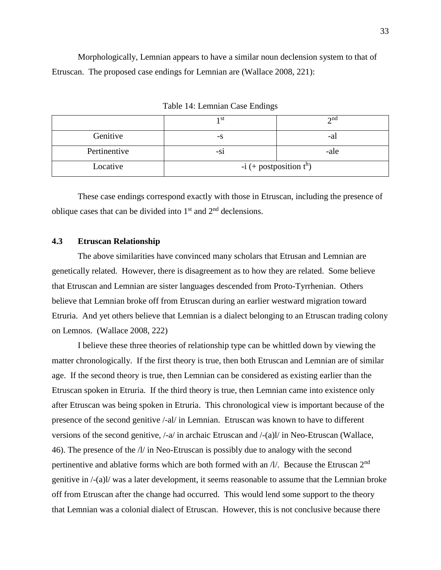Morphologically, Lemnian appears to have a similar noun declension system to that of Etruscan. The proposed case endings for Lemnian are (Wallace 2008, 221):

|              | ı st                         | $\gamma$ nd |  |  |
|--------------|------------------------------|-------------|--|--|
| Genitive     | -S                           | -al         |  |  |
| Pertinentive | -S1                          | -ale        |  |  |
| Locative     | $-i$ (+ postposition $t^h$ ) |             |  |  |

Table 14: Lemnian Case Endings

These case endings correspond exactly with those in Etruscan, including the presence of oblique cases that can be divided into  $1<sup>st</sup>$  and  $2<sup>nd</sup>$  declensions.

### **4.3 Etruscan Relationship**

The above similarities have convinced many scholars that Etrusan and Lemnian are genetically related. However, there is disagreement as to how they are related. Some believe that Etruscan and Lemnian are sister languages descended from Proto-Tyrrhenian. Others believe that Lemnian broke off from Etruscan during an earlier westward migration toward Etruria. And yet others believe that Lemnian is a dialect belonging to an Etruscan trading colony on Lemnos. (Wallace 2008, 222)

I believe these three theories of relationship type can be whittled down by viewing the matter chronologically. If the first theory is true, then both Etruscan and Lemnian are of similar age. If the second theory is true, then Lemnian can be considered as existing earlier than the Etruscan spoken in Etruria. If the third theory is true, then Lemnian came into existence only after Etruscan was being spoken in Etruria. This chronological view is important because of the presence of the second genitive /-al/ in Lemnian. Etruscan was known to have to different versions of the second genitive, /-a/ in archaic Etruscan and /-(a)l/ in Neo-Etruscan (Wallace, 46). The presence of the /l/ in Neo-Etruscan is possibly due to analogy with the second pertinentive and ablative forms which are both formed with an  $N$ . Because the Etruscan 2<sup>nd</sup> genitive in /-(a)l/ was a later development, it seems reasonable to assume that the Lemnian broke off from Etruscan after the change had occurred. This would lend some support to the theory that Lemnian was a colonial dialect of Etruscan. However, this is not conclusive because there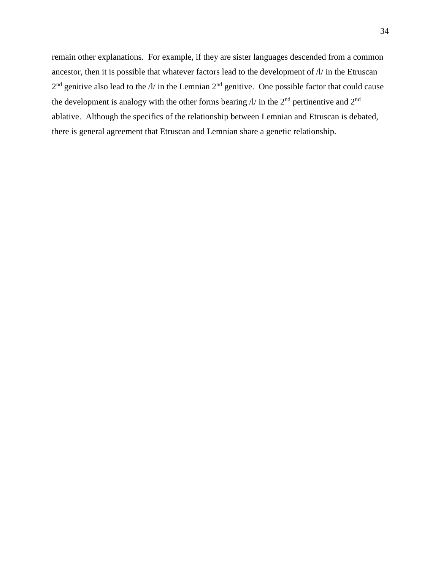remain other explanations. For example, if they are sister languages descended from a common ancestor, then it is possible that whatever factors lead to the development of /l/ in the Etruscan  $2<sup>nd</sup>$  genitive also lead to the /l/ in the Lemnian  $2<sup>nd</sup>$  genitive. One possible factor that could cause the development is analogy with the other forms bearing  $\Lambda$  in the 2<sup>nd</sup> pertinentive and 2<sup>nd</sup> ablative. Although the specifics of the relationship between Lemnian and Etruscan is debated, there is general agreement that Etruscan and Lemnian share a genetic relationship.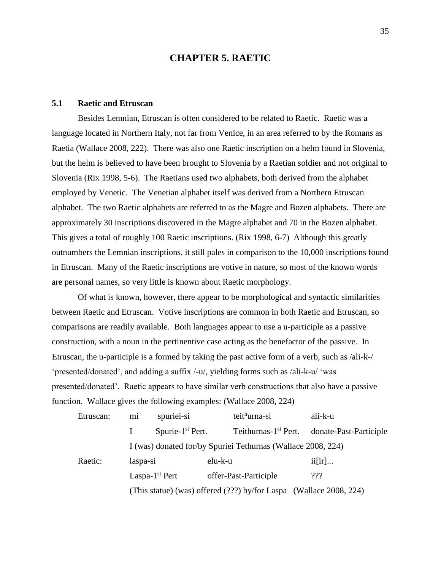## **CHAPTER 5. RAETIC**

### **5.1 Raetic and Etruscan**

Besides Lemnian, Etruscan is often considered to be related to Raetic. Raetic was a language located in Northern Italy, not far from Venice, in an area referred to by the Romans as Raetia (Wallace 2008, 222). There was also one Raetic inscription on a helm found in Slovenia, but the helm is believed to have been brought to Slovenia by a Raetian soldier and not original to Slovenia (Rix 1998, 5-6). The Raetians used two alphabets, both derived from the alphabet employed by Venetic. The Venetian alphabet itself was derived from a Northern Etruscan alphabet. The two Raetic alphabets are referred to as the Magre and Bozen alphabets. There are approximately 30 inscriptions discovered in the Magre alphabet and 70 in the Bozen alphabet. This gives a total of roughly 100 Raetic inscriptions. (Rix 1998, 6-7) Although this greatly outnumbers the Lemnian inscriptions, it still pales in comparison to the 10,000 inscriptions found in Etruscan. Many of the Raetic inscriptions are votive in nature, so most of the known words are personal names, so very little is known about Raetic morphology.

Of what is known, however, there appear to be morphological and syntactic similarities between Raetic and Etruscan. Votive inscriptions are common in both Raetic and Etruscan, so comparisons are readily available. Both languages appear to use a u-participle as a passive construction, with a noun in the pertinentive case acting as the benefactor of the passive. In Etruscan, the u-participle is a formed by taking the past active form of a verb, such as /ali-k-/ 'presented/donated', and adding a suffix /-u/, yielding forms such as /ali-k-u/ 'was presented/donated'. Raetic appears to have similar verb constructions that also have a passive function. Wallace gives the following examples: (Wallace 2008, 224)

| Etruscan: | mi                                                                 | spuriei-si          |                                                              | teithurna-si                     | ali-k-u |                        |
|-----------|--------------------------------------------------------------------|---------------------|--------------------------------------------------------------|----------------------------------|---------|------------------------|
|           |                                                                    | Spurie- $1st$ Pert. |                                                              | Teithurnas-1 <sup>st</sup> Pert. |         | donate-Past-Participle |
|           |                                                                    |                     | I (was) donated for/by Spuriei Tethurnas (Wallace 2008, 224) |                                  |         |                        |
| Raetic:   | laspa-si                                                           |                     | elu-k-u                                                      |                                  | ii[ir]  |                        |
|           | Laspa- $1st$ Pert                                                  |                     |                                                              | offer-Past-Participle            |         |                        |
|           | (This statue) (was) offered (???) by/for Laspa (Wallace 2008, 224) |                     |                                                              |                                  |         |                        |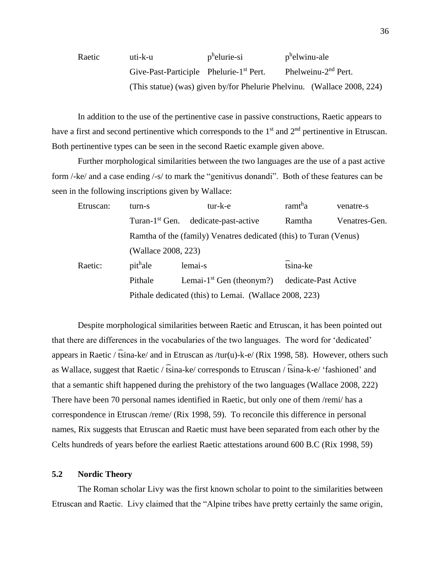| Raetic | uti-k-u                                             | p <sup>h</sup> elurie-si | p <sup>h</sup> elwinu-ale                                               |
|--------|-----------------------------------------------------|--------------------------|-------------------------------------------------------------------------|
|        | Give-Past-Participle Phelurie-1 <sup>st</sup> Pert. |                          | Phelweinu- $2nd$ Pert.                                                  |
|        |                                                     |                          | (This statue) (was) given by/for Phelurie Phelvinu. (Wallace 2008, 224) |

In addition to the use of the pertinentive case in passive constructions, Raetic appears to have a first and second pertinentive which corresponds to the  $1<sup>st</sup>$  and  $2<sup>nd</sup>$  pertinentive in Etruscan. Both pertinentive types can be seen in the second Raetic example given above.

Further morphological similarities between the two languages are the use of a past active form /-ke/ and a case ending /-s/ to mark the "genitivus donandi". Both of these features can be seen in the following inscriptions given by Wallace:

| Etruscan: | turn-s                                                                  | tur-k-e                                                           | ramt <sup>h</sup> a | venatre-s     |  |  |
|-----------|-------------------------------------------------------------------------|-------------------------------------------------------------------|---------------------|---------------|--|--|
|           | Turan- $1st$ Gen.                                                       | dedicate-past-active                                              | Ramtha              | Venatres-Gen. |  |  |
|           |                                                                         | Ramtha of the (family) Venatres dedicated (this) to Turan (Venus) |                     |               |  |  |
|           | (Wallace 2008, 223)                                                     |                                                                   |                     |               |  |  |
| Raetic:   | pit <sup>h</sup> ale                                                    | lemai-s                                                           | tsina-ke            |               |  |  |
|           | Lemai-1 <sup>st</sup> Gen (theonym?)<br>Pithale<br>dedicate-Past Active |                                                                   |                     |               |  |  |
|           | Pithale dedicated (this) to Lemai. (Wallace 2008, 223)                  |                                                                   |                     |               |  |  |

Despite morphological similarities between Raetic and Etruscan, it has been pointed out that there are differences in the vocabularies of the two languages. The word for 'dedicated' appears in Raetic /  $\widehat{t}$ sina-ke/ and in Etruscan as /tur(u)-k-e/ (Rix 1998, 58). However, others such as Wallace, suggest that Raetic /  $\widehat{t} \sin a$ -ke/ corresponds to Etruscan /  $\widehat{t} \sin a$ -k-e/ 'fashioned' and that a semantic shift happened during the prehistory of the two languages (Wallace 2008, 222) There have been 70 personal names identified in Raetic, but only one of them /remi/ has a correspondence in Etruscan /reme/ (Rix 1998, 59). To reconcile this difference in personal names, Rix suggests that Etruscan and Raetic must have been separated from each other by the Celts hundreds of years before the earliest Raetic attestations around 600 B.C (Rix 1998, 59)

#### **5.2 Nordic Theory**

The Roman scholar Livy was the first known scholar to point to the similarities between Etruscan and Raetic. Livy claimed that the "Alpine tribes have pretty certainly the same origin,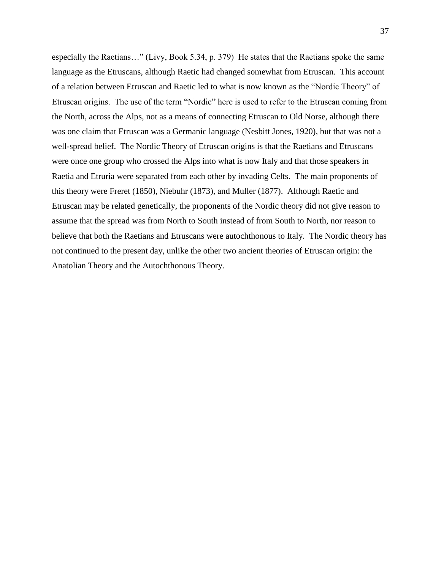especially the Raetians…" (Livy, Book 5.34, p. 379) He states that the Raetians spoke the same language as the Etruscans, although Raetic had changed somewhat from Etruscan. This account of a relation between Etruscan and Raetic led to what is now known as the "Nordic Theory" of Etruscan origins. The use of the term "Nordic" here is used to refer to the Etruscan coming from the North, across the Alps, not as a means of connecting Etruscan to Old Norse, although there was one claim that Etruscan was a Germanic language (Nesbitt Jones, 1920), but that was not a well-spread belief. The Nordic Theory of Etruscan origins is that the Raetians and Etruscans were once one group who crossed the Alps into what is now Italy and that those speakers in Raetia and Etruria were separated from each other by invading Celts. The main proponents of this theory were Freret (1850), Niebuhr (1873), and Muller (1877). Although Raetic and Etruscan may be related genetically, the proponents of the Nordic theory did not give reason to assume that the spread was from North to South instead of from South to North, nor reason to believe that both the Raetians and Etruscans were autochthonous to Italy. The Nordic theory has not continued to the present day, unlike the other two ancient theories of Etruscan origin: the Anatolian Theory and the Autochthonous Theory.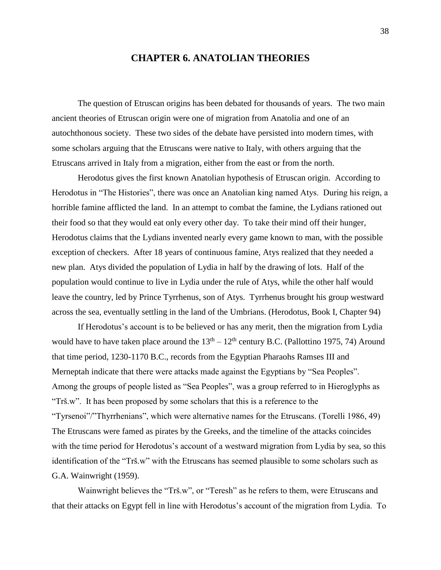## **CHAPTER 6. ANATOLIAN THEORIES**

The question of Etruscan origins has been debated for thousands of years. The two main ancient theories of Etruscan origin were one of migration from Anatolia and one of an autochthonous society. These two sides of the debate have persisted into modern times, with some scholars arguing that the Etruscans were native to Italy, with others arguing that the Etruscans arrived in Italy from a migration, either from the east or from the north.

Herodotus gives the first known Anatolian hypothesis of Etruscan origin. According to Herodotus in "The Histories", there was once an Anatolian king named Atys. During his reign, a horrible famine afflicted the land. In an attempt to combat the famine, the Lydians rationed out their food so that they would eat only every other day. To take their mind off their hunger, Herodotus claims that the Lydians invented nearly every game known to man, with the possible exception of checkers. After 18 years of continuous famine, Atys realized that they needed a new plan. Atys divided the population of Lydia in half by the drawing of lots. Half of the population would continue to live in Lydia under the rule of Atys, while the other half would leave the country, led by Prince Tyrrhenus, son of Atys. Tyrrhenus brought his group westward across the sea, eventually settling in the land of the Umbrians. (Herodotus, Book I, Chapter 94)

If Herodotus's account is to be believed or has any merit, then the migration from Lydia would have to have taken place around the  $13<sup>th</sup> - 12<sup>th</sup>$  century B.C. (Pallottino 1975, 74) Around that time period, 1230-1170 B.C., records from the Egyptian Pharaohs Ramses III and Merneptah indicate that there were attacks made against the Egyptians by "Sea Peoples". Among the groups of people listed as "Sea Peoples", was a group referred to in Hieroglyphs as "Trš.w". It has been proposed by some scholars that this is a reference to the "Tyrsenoi"/"Thyrrhenians", which were alternative names for the Etruscans. (Torelli 1986, 49) The Etruscans were famed as pirates by the Greeks, and the timeline of the attacks coincides with the time period for Herodotus's account of a westward migration from Lydia by sea, so this identification of the "Trš.w" with the Etruscans has seemed plausible to some scholars such as G.A. Wainwright (1959).

Wainwright believes the "Trš.w", or "Teresh" as he refers to them, were Etruscans and that their attacks on Egypt fell in line with Herodotus's account of the migration from Lydia. To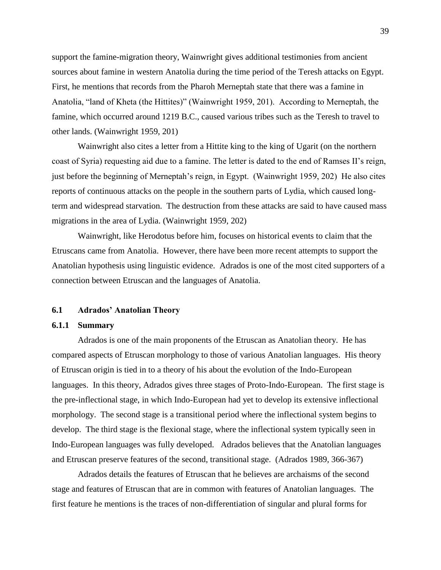support the famine-migration theory, Wainwright gives additional testimonies from ancient sources about famine in western Anatolia during the time period of the Teresh attacks on Egypt. First, he mentions that records from the Pharoh Merneptah state that there was a famine in Anatolia, "land of Kheta (the Hittites)" (Wainwright 1959, 201). According to Merneptah, the famine, which occurred around 1219 B.C., caused various tribes such as the Teresh to travel to other lands. (Wainwright 1959, 201)

Wainwright also cites a letter from a Hittite king to the king of Ugarit (on the northern coast of Syria) requesting aid due to a famine. The letter is dated to the end of Ramses II's reign, just before the beginning of Merneptah's reign, in Egypt. (Wainwright 1959, 202) He also cites reports of continuous attacks on the people in the southern parts of Lydia, which caused longterm and widespread starvation. The destruction from these attacks are said to have caused mass migrations in the area of Lydia. (Wainwright 1959, 202)

Wainwright, like Herodotus before him, focuses on historical events to claim that the Etruscans came from Anatolia. However, there have been more recent attempts to support the Anatolian hypothesis using linguistic evidence. Adrados is one of the most cited supporters of a connection between Etruscan and the languages of Anatolia.

#### **6.1 Adrados' Anatolian Theory**

#### **6.1.1 Summary**

Adrados is one of the main proponents of the Etruscan as Anatolian theory. He has compared aspects of Etruscan morphology to those of various Anatolian languages. His theory of Etruscan origin is tied in to a theory of his about the evolution of the Indo-European languages. In this theory, Adrados gives three stages of Proto-Indo-European. The first stage is the pre-inflectional stage, in which Indo-European had yet to develop its extensive inflectional morphology. The second stage is a transitional period where the inflectional system begins to develop. The third stage is the flexional stage, where the inflectional system typically seen in Indo-European languages was fully developed. Adrados believes that the Anatolian languages and Etruscan preserve features of the second, transitional stage. (Adrados 1989, 366-367)

Adrados details the features of Etruscan that he believes are archaisms of the second stage and features of Etruscan that are in common with features of Anatolian languages. The first feature he mentions is the traces of non-differentiation of singular and plural forms for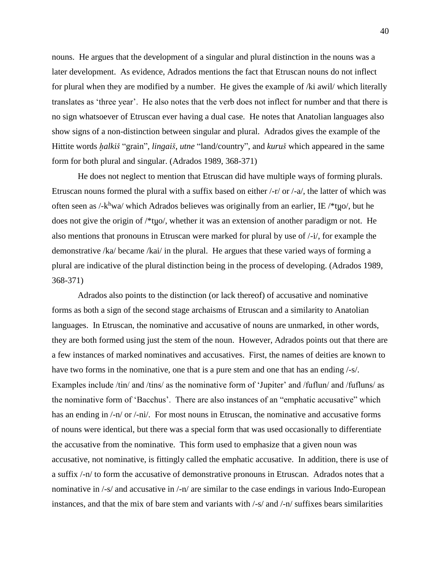nouns. He argues that the development of a singular and plural distinction in the nouns was a later development. As evidence, Adrados mentions the fact that Etruscan nouns do not inflect for plural when they are modified by a number. He gives the example of /ki awil/ which literally translates as 'three year'. He also notes that the verb does not inflect for number and that there is no sign whatsoever of Etruscan ever having a dual case. He notes that Anatolian languages also show signs of a non-distinction between singular and plural. Adrados gives the example of the Hittite words *h̬alkiš* "grain", *lingaiš*, *utne* "land/country", and *kuruš* which appeared in the same form for both plural and singular. (Adrados 1989, 368-371)

He does not neglect to mention that Etruscan did have multiple ways of forming plurals. Etruscan nouns formed the plural with a suffix based on either /-r/ or /-a/, the latter of which was often seen as /-k<sup>h</sup>wa/ which Adrados believes was originally from an earlier, IE /\*tyo/, but he does not give the origin of /\*tuo/, whether it was an extension of another paradigm or not. He also mentions that pronouns in Etruscan were marked for plural by use of /-i/, for example the demonstrative /ka/ became /kai/ in the plural. He argues that these varied ways of forming a plural are indicative of the plural distinction being in the process of developing. (Adrados 1989, 368-371)

Adrados also points to the distinction (or lack thereof) of accusative and nominative forms as both a sign of the second stage archaisms of Etruscan and a similarity to Anatolian languages. In Etruscan, the nominative and accusative of nouns are unmarked, in other words, they are both formed using just the stem of the noun. However, Adrados points out that there are a few instances of marked nominatives and accusatives. First, the names of deities are known to have two forms in the nominative, one that is a pure stem and one that has an ending  $\frac{1}{s}$ . Examples include /tin/ and /tins/ as the nominative form of 'Jupiter' and /fuflun/ and /fufluns/ as the nominative form of 'Bacchus'. There are also instances of an "emphatic accusative" which has an ending in  $\frac{1-n}{\alpha}$ . For most nouns in Etruscan, the nominative and accusative forms of nouns were identical, but there was a special form that was used occasionally to differentiate the accusative from the nominative. This form used to emphasize that a given noun was accusative, not nominative, is fittingly called the emphatic accusative. In addition, there is use of a suffix /-n/ to form the accusative of demonstrative pronouns in Etruscan. Adrados notes that a nominative in /-s/ and accusative in /-n/ are similar to the case endings in various Indo-European instances, and that the mix of bare stem and variants with /-s/ and /-n/ suffixes bears similarities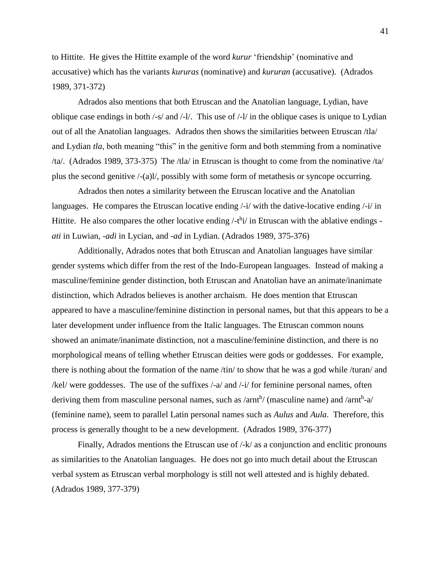to Hittite. He gives the Hittite example of the word *kurur* 'friendship' (nominative and accusative) which has the variants *kururas* (nominative) and *kururan* (accusative). (Adrados 1989, 371-372)

Adrados also mentions that both Etruscan and the Anatolian language, Lydian, have oblique case endings in both /-s/ and /-l/. This use of /-l/ in the oblique cases is unique to Lydian out of all the Anatolian languages. Adrados then shows the similarities between Etruscan /tla/ and Lydian *tla*, both meaning "this" in the genitive form and both stemming from a nominative /ta/. (Adrados 1989, 373-375) The /tla/ in Etruscan is thought to come from the nominative /ta/ plus the second genitive /-(a)l/, possibly with some form of metathesis or syncope occurring.

Adrados then notes a similarity between the Etruscan locative and the Anatolian languages. He compares the Etruscan locative ending  $\frac{1}{i}$  with the dative-locative ending  $\frac{1}{i}$  in Hittite. He also compares the other locative ending /-t<sup>h</sup>i/ in Etruscan with the ablative endings *ati* in Luwian, *-adi* in Lycian, and *-ad* in Lydian. (Adrados 1989, 375-376)

Additionally, Adrados notes that both Etruscan and Anatolian languages have similar gender systems which differ from the rest of the Indo-European languages. Instead of making a masculine/feminine gender distinction, both Etruscan and Anatolian have an animate/inanimate distinction, which Adrados believes is another archaism. He does mention that Etruscan appeared to have a masculine/feminine distinction in personal names, but that this appears to be a later development under influence from the Italic languages. The Etruscan common nouns showed an animate/inanimate distinction, not a masculine/feminine distinction, and there is no morphological means of telling whether Etruscan deities were gods or goddesses. For example, there is nothing about the formation of the name /tin/ to show that he was a god while /turan/ and /kel/ were goddesses. The use of the suffixes /-a/ and /-i/ for feminine personal names, often deriving them from masculine personal names, such as /arnth/ (masculine name) and /arnth-a/ (feminine name), seem to parallel Latin personal names such as *Aulus* and *Aula*. Therefore, this process is generally thought to be a new development. (Adrados 1989, 376-377)

Finally, Adrados mentions the Etruscan use of /-k/ as a conjunction and enclitic pronouns as similarities to the Anatolian languages. He does not go into much detail about the Etruscan verbal system as Etruscan verbal morphology is still not well attested and is highly debated. (Adrados 1989, 377-379)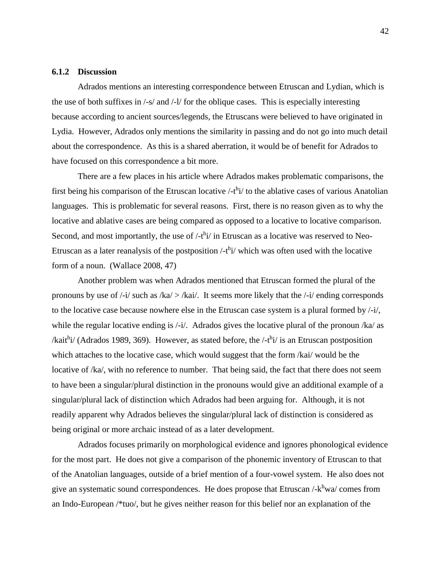#### **6.1.2 Discussion**

Adrados mentions an interesting correspondence between Etruscan and Lydian, which is the use of both suffixes in /-s/ and /-l/ for the oblique cases. This is especially interesting because according to ancient sources/legends, the Etruscans were believed to have originated in Lydia. However, Adrados only mentions the similarity in passing and do not go into much detail about the correspondence. As this is a shared aberration, it would be of benefit for Adrados to have focused on this correspondence a bit more.

There are a few places in his article where Adrados makes problematic comparisons, the first being his comparison of the Etruscan locative  $/$ -t<sup>h</sup>i $/$  to the ablative cases of various Anatolian languages. This is problematic for several reasons. First, there is no reason given as to why the locative and ablative cases are being compared as opposed to a locative to locative comparison. Second, and most importantly, the use of  $/$ -t<sup>h</sup>i $/$  in Etruscan as a locative was reserved to Neo-Etruscan as a later reanalysis of the postposition  $/$ -t<sup>h</sup>i $/$  which was often used with the locative form of a noun. (Wallace 2008, 47)

Another problem was when Adrados mentioned that Etruscan formed the plural of the pronouns by use of  $\frac{1}{i}$  such as  $\frac{1}{k}$   $\frac{1}{k}$   $\frac{1}{k}$ . It seems more likely that the  $\frac{1}{k}$  ending corresponds to the locative case because nowhere else in the Etruscan case system is a plural formed by /-i/, while the regular locative ending is  $\frac{1}{4}$ . Adrados gives the locative plural of the pronoun  $\frac{1}{4}$  as /kait<sup>h</sup>i/ (Adrados 1989, 369). However, as stated before, the /-t<sup>h</sup>i/ is an Etruscan postposition which attaches to the locative case, which would suggest that the form /kai/ would be the locative of /ka/, with no reference to number. That being said, the fact that there does not seem to have been a singular/plural distinction in the pronouns would give an additional example of a singular/plural lack of distinction which Adrados had been arguing for. Although, it is not readily apparent why Adrados believes the singular/plural lack of distinction is considered as being original or more archaic instead of as a later development.

Adrados focuses primarily on morphological evidence and ignores phonological evidence for the most part. He does not give a comparison of the phonemic inventory of Etruscan to that of the Anatolian languages, outside of a brief mention of a four-vowel system. He also does not give an systematic sound correspondences. He does propose that Etruscan /-k<sup>h</sup>wa/ comes from an Indo-European /\*tuo/, but he gives neither reason for this belief nor an explanation of the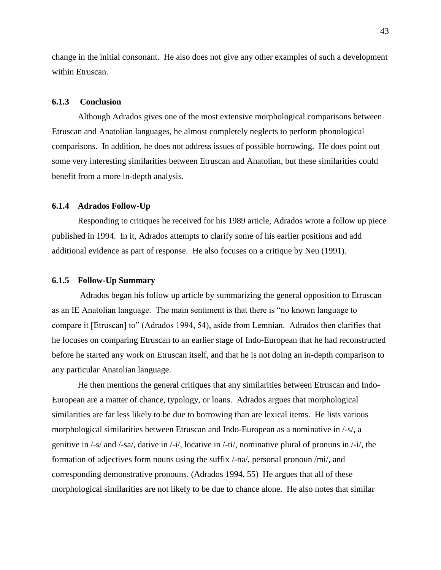change in the initial consonant. He also does not give any other examples of such a development within Etruscan.

### **6.1.3 Conclusion**

Although Adrados gives one of the most extensive morphological comparisons between Etruscan and Anatolian languages, he almost completely neglects to perform phonological comparisons. In addition, he does not address issues of possible borrowing. He does point out some very interesting similarities between Etruscan and Anatolian, but these similarities could benefit from a more in-depth analysis.

#### **6.1.4 Adrados Follow-Up**

Responding to critiques he received for his 1989 article, Adrados wrote a follow up piece published in 1994. In it, Adrados attempts to clarify some of his earlier positions and add additional evidence as part of response. He also focuses on a critique by Neu (1991).

#### **6.1.5 Follow-Up Summary**

Adrados began his follow up article by summarizing the general opposition to Etruscan as an IE Anatolian language. The main sentiment is that there is "no known language to compare it [Etruscan] to" (Adrados 1994, 54), aside from Lemnian. Adrados then clarifies that he focuses on comparing Etruscan to an earlier stage of Indo-European that he had reconstructed before he started any work on Etruscan itself, and that he is not doing an in-depth comparison to any particular Anatolian language.

He then mentions the general critiques that any similarities between Etruscan and Indo-European are a matter of chance, typology, or loans. Adrados argues that morphological similarities are far less likely to be due to borrowing than are lexical items. He lists various morphological similarities between Etruscan and Indo-European as a nominative in /-s/, a genitive in  $\frac{-s}{a}$  and  $\frac{-sa}{sa}$ , dative in  $\frac{-i}{a}$ , locative in  $\frac{-ti}{a}$ , nominative plural of pronuns in  $\frac{-i}{a}$ , the formation of adjectives form nouns using the suffix /-na/, personal pronoun /mi/, and corresponding demonstrative pronouns. (Adrados 1994, 55) He argues that all of these morphological similarities are not likely to be due to chance alone. He also notes that similar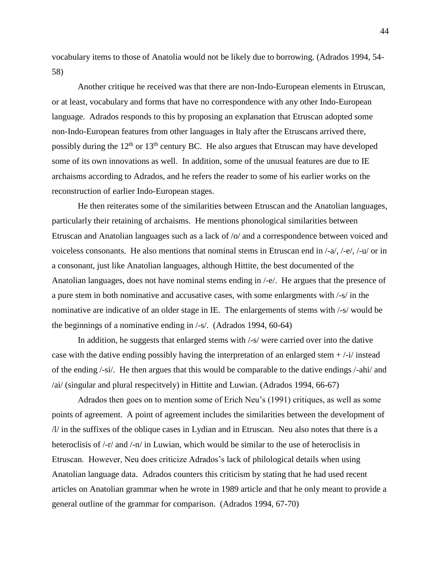vocabulary items to those of Anatolia would not be likely due to borrowing. (Adrados 1994, 54- 58)

Another critique he received was that there are non-Indo-European elements in Etruscan, or at least, vocabulary and forms that have no correspondence with any other Indo-European language. Adrados responds to this by proposing an explanation that Etruscan adopted some non-Indo-European features from other languages in Italy after the Etruscans arrived there, possibly during the  $12<sup>th</sup>$  or  $13<sup>th</sup>$  century BC. He also argues that Etruscan may have developed some of its own innovations as well. In addition, some of the unusual features are due to IE archaisms according to Adrados, and he refers the reader to some of his earlier works on the reconstruction of earlier Indo-European stages.

He then reiterates some of the similarities between Etruscan and the Anatolian languages, particularly their retaining of archaisms. He mentions phonological similarities between Etruscan and Anatolian languages such as a lack of /o/ and a correspondence between voiced and voiceless consonants. He also mentions that nominal stems in Etruscan end in  $\frac{1}{4}$ ,  $\frac{1}{4}$ ,  $\frac{1}{4}$  or in a consonant, just like Anatolian languages, although Hittite, the best documented of the Anatolian languages, does not have nominal stems ending in /-e/. He argues that the presence of a pure stem in both nominative and accusative cases, with some enlargments with /-s/ in the nominative are indicative of an older stage in IE. The enlargements of stems with /-s/ would be the beginnings of a nominative ending in /-s/. (Adrados 1994, 60-64)

In addition, he suggests that enlarged stems with /-s/ were carried over into the dative case with the dative ending possibly having the interpretation of an enlarged stem + /-i/ instead of the ending /-si/. He then argues that this would be comparable to the dative endings /-ahi/ and /ai/ (singular and plural respecitvely) in Hittite and Luwian. (Adrados 1994, 66-67)

Adrados then goes on to mention some of Erich Neu's (1991) critiques, as well as some points of agreement. A point of agreement includes the similarities between the development of /l/ in the suffixes of the oblique cases in Lydian and in Etruscan. Neu also notes that there is a heteroclisis of  $\frac{1}{r}$  and  $\frac{1}{r}$  in Luwian, which would be similar to the use of heteroclisis in Etruscan. However, Neu does criticize Adrados's lack of philological details when using Anatolian language data. Adrados counters this criticism by stating that he had used recent articles on Anatolian grammar when he wrote in 1989 article and that he only meant to provide a general outline of the grammar for comparison. (Adrados 1994, 67-70)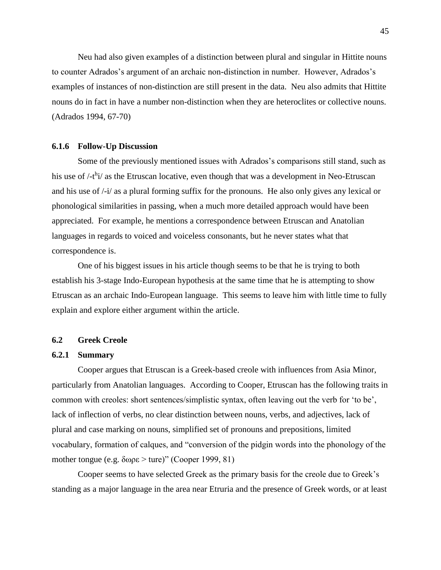Neu had also given examples of a distinction between plural and singular in Hittite nouns to counter Adrados's argument of an archaic non-distinction in number. However, Adrados's examples of instances of non-distinction are still present in the data. Neu also admits that Hittite nouns do in fact in have a number non-distinction when they are heteroclites or collective nouns. (Adrados 1994, 67-70)

#### **6.1.6 Follow-Up Discussion**

Some of the previously mentioned issues with Adrados's comparisons still stand, such as his use of /-t<sup>h</sup>i/ as the Etruscan locative, even though that was a development in Neo-Etruscan and his use of /-i/ as a plural forming suffix for the pronouns. He also only gives any lexical or phonological similarities in passing, when a much more detailed approach would have been appreciated. For example, he mentions a correspondence between Etruscan and Anatolian languages in regards to voiced and voiceless consonants, but he never states what that correspondence is.

One of his biggest issues in his article though seems to be that he is trying to both establish his 3-stage Indo-European hypothesis at the same time that he is attempting to show Etruscan as an archaic Indo-European language. This seems to leave him with little time to fully explain and explore either argument within the article.

#### **6.2 Greek Creole**

## **6.2.1 Summary**

Cooper argues that Etruscan is a Greek-based creole with influences from Asia Minor, particularly from Anatolian languages. According to Cooper, Etruscan has the following traits in common with creoles: short sentences/simplistic syntax, often leaving out the verb for 'to be', lack of inflection of verbs, no clear distinction between nouns, verbs, and adjectives, lack of plural and case marking on nouns, simplified set of pronouns and prepositions, limited vocabulary, formation of calques, and "conversion of the pidgin words into the phonology of the mother tongue (e.g. δωρε > ture)" (Cooper 1999, 81)

Cooper seems to have selected Greek as the primary basis for the creole due to Greek's standing as a major language in the area near Etruria and the presence of Greek words, or at least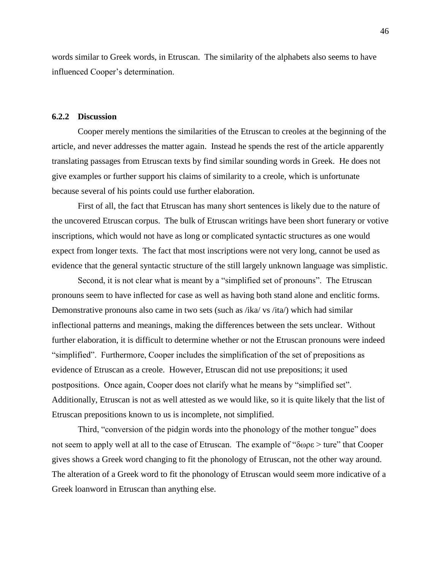words similar to Greek words, in Etruscan. The similarity of the alphabets also seems to have influenced Cooper's determination.

#### **6.2.2 Discussion**

Cooper merely mentions the similarities of the Etruscan to creoles at the beginning of the article, and never addresses the matter again. Instead he spends the rest of the article apparently translating passages from Etruscan texts by find similar sounding words in Greek. He does not give examples or further support his claims of similarity to a creole, which is unfortunate because several of his points could use further elaboration.

First of all, the fact that Etruscan has many short sentences is likely due to the nature of the uncovered Etruscan corpus. The bulk of Etruscan writings have been short funerary or votive inscriptions, which would not have as long or complicated syntactic structures as one would expect from longer texts. The fact that most inscriptions were not very long, cannot be used as evidence that the general syntactic structure of the still largely unknown language was simplistic.

Second, it is not clear what is meant by a "simplified set of pronouns". The Etruscan pronouns seem to have inflected for case as well as having both stand alone and enclitic forms. Demonstrative pronouns also came in two sets (such as /ika/ vs /ita/) which had similar inflectional patterns and meanings, making the differences between the sets unclear. Without further elaboration, it is difficult to determine whether or not the Etruscan pronouns were indeed "simplified". Furthermore, Cooper includes the simplification of the set of prepositions as evidence of Etruscan as a creole. However, Etruscan did not use prepositions; it used postpositions. Once again, Cooper does not clarify what he means by "simplified set". Additionally, Etruscan is not as well attested as we would like, so it is quite likely that the list of Etruscan prepositions known to us is incomplete, not simplified.

Third, "conversion of the pidgin words into the phonology of the mother tongue" does not seem to apply well at all to the case of Etruscan. The example of "δωρε > ture" that Cooper gives shows a Greek word changing to fit the phonology of Etruscan, not the other way around. The alteration of a Greek word to fit the phonology of Etruscan would seem more indicative of a Greek loanword in Etruscan than anything else.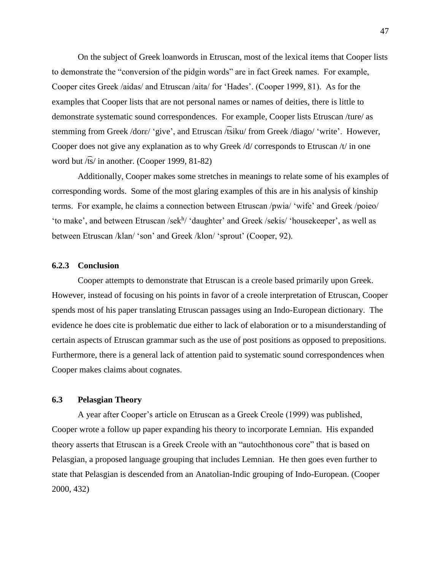On the subject of Greek loanwords in Etruscan, most of the lexical items that Cooper lists to demonstrate the "conversion of the pidgin words" are in fact Greek names. For example, Cooper cites Greek /aidas/ and Etruscan /aita/ for 'Hades'. (Cooper 1999, 81). As for the examples that Cooper lists that are not personal names or names of deities, there is little to demonstrate systematic sound correspondences. For example, Cooper lists Etruscan /ture/ as stemming from Greek /dorɛ/ 'give', and Etruscan /͡tsiku/ from Greek /diago/ 'write'. However, Cooper does not give any explanation as to why Greek /d/ corresponds to Etruscan /t/ in one word but  $\sqrt{fs}/$  in another. (Cooper 1999, 81-82)

Additionally, Cooper makes some stretches in meanings to relate some of his examples of corresponding words. Some of the most glaring examples of this are in his analysis of kinship terms. For example, he claims a connection between Etruscan /pwia/ 'wife' and Greek /poieo/ 'to make', and between Etruscan /sek<sup>h</sup>/ 'daughter' and Greek /sekis/ 'housekeeper', as well as between Etruscan /klan/ 'son' and Greek /klon/ 'sprout' (Cooper, 92).

### **6.2.3 Conclusion**

Cooper attempts to demonstrate that Etruscan is a creole based primarily upon Greek. However, instead of focusing on his points in favor of a creole interpretation of Etruscan, Cooper spends most of his paper translating Etruscan passages using an Indo-European dictionary. The evidence he does cite is problematic due either to lack of elaboration or to a misunderstanding of certain aspects of Etruscan grammar such as the use of post positions as opposed to prepositions. Furthermore, there is a general lack of attention paid to systematic sound correspondences when Cooper makes claims about cognates.

## **6.3 Pelasgian Theory**

A year after Cooper's article on Etruscan as a Greek Creole (1999) was published, Cooper wrote a follow up paper expanding his theory to incorporate Lemnian. His expanded theory asserts that Etruscan is a Greek Creole with an "autochthonous core" that is based on Pelasgian, a proposed language grouping that includes Lemnian. He then goes even further to state that Pelasgian is descended from an Anatolian-Indic grouping of Indo-European. (Cooper 2000, 432)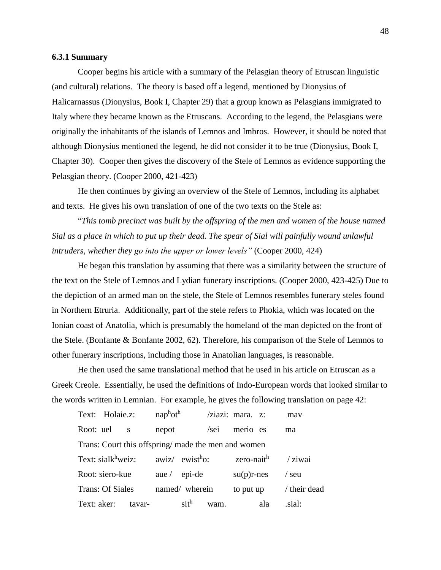### **6.3.1 Summary**

Cooper begins his article with a summary of the Pelasgian theory of Etruscan linguistic (and cultural) relations. The theory is based off a legend, mentioned by Dionysius of Halicarnassus (Dionysius, Book I, Chapter 29) that a group known as Pelasgians immigrated to Italy where they became known as the Etruscans. According to the legend, the Pelasgians were originally the inhabitants of the islands of Lemnos and Imbros. However, it should be noted that although Dionysius mentioned the legend, he did not consider it to be true (Dionysius, Book I, Chapter 30). Cooper then gives the discovery of the Stele of Lemnos as evidence supporting the Pelasgian theory. (Cooper 2000, 421-423)

He then continues by giving an overview of the Stele of Lemnos, including its alphabet and texts. He gives his own translation of one of the two texts on the Stele as:

"*This tomb precinct was built by the offspring of the men and women of the house named Sial as a place in which to put up their dead. The spear of Sial will painfully wound unlawful intruders, whether they go into the upper or lower levels"* (Cooper 2000, 424)

He began this translation by assuming that there was a similarity between the structure of the text on the Stele of Lemnos and Lydian funerary inscriptions. (Cooper 2000, 423-425) Due to the depiction of an armed man on the stele, the Stele of Lemnos resembles funerary steles found in Northern Etruria. Additionally, part of the stele refers to Phokia, which was located on the Ionian coast of Anatolia, which is presumably the homeland of the man depicted on the front of the Stele. (Bonfante & Bonfante 2002, 62). Therefore, his comparison of the Stele of Lemnos to other funerary inscriptions, including those in Anatolian languages, is reasonable.

He then used the same translational method that he used in his article on Etruscan as a Greek Creole. Essentially, he used the definitions of Indo-European words that looked similar to the words written in Lemnian. For example, he gives the following translation on page 42:

| Text: Holaie.z:                                     | $nap^{\text{h}}$ ot <sup>h</sup> |      | $/ziazi$ : mara. $z$ : |     | may        |  |  |
|-----------------------------------------------------|----------------------------------|------|------------------------|-----|------------|--|--|
| Root: uel s                                         | nepot                            | /sei | merio es               |     | ma         |  |  |
| Trans: Court this offspring/ made the men and women |                                  |      |                        |     |            |  |  |
| Text: sialk <sup>h</sup> weiz: $awiz/ewistho$ :     |                                  |      | zero-nait <sup>h</sup> |     | / ziwai    |  |  |
| Root: siero-kue                                     | aue / $epi-de$                   |      | $su(p)r$ -nes          |     | $/$ seu    |  |  |
| <b>Trans: Of Siales</b>                             | named/ wherein                   |      | to put up              |     | their dead |  |  |
| Text: aker:<br>tavar-                               | sith                             | wam. |                        | ala | sial:      |  |  |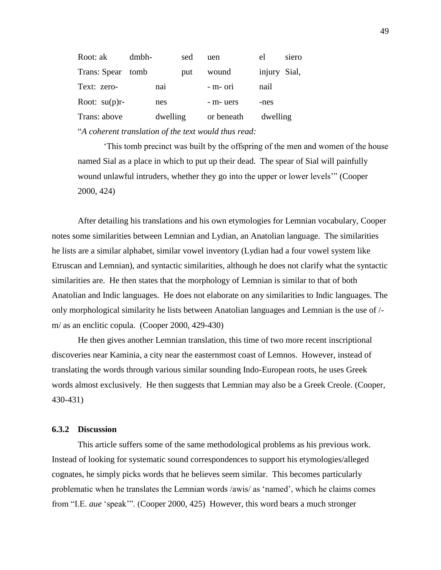| Root: ak         | dmbh- |          | sed | uen        | el           | siero |
|------------------|-------|----------|-----|------------|--------------|-------|
| Trans: Spear     | tomb  |          | put | wound      | injury Sial, |       |
| Text: zero-      |       | nai      |     | - m- ori   | nail         |       |
| Root: $su(p)r$ - |       | nes      |     | - m- uers  | -nes         |       |
| Trans: above     |       | dwelling |     | or beneath | dwelling     |       |
|                  |       |          |     |            |              |       |

"*A coherent translation of the text would thus read:*

'This tomb precinct was built by the offspring of the men and women of the house named Sial as a place in which to put up their dead. The spear of Sial will painfully wound unlawful intruders, whether they go into the upper or lower levels'" (Cooper 2000, 424)

After detailing his translations and his own etymologies for Lemnian vocabulary, Cooper notes some similarities between Lemnian and Lydian, an Anatolian language. The similarities he lists are a similar alphabet, similar vowel inventory (Lydian had a four vowel system like Etruscan and Lemnian), and syntactic similarities, although he does not clarify what the syntactic similarities are. He then states that the morphology of Lemnian is similar to that of both Anatolian and Indic languages. He does not elaborate on any similarities to Indic languages. The only morphological similarity he lists between Anatolian languages and Lemnian is the use of / m/ as an enclitic copula. (Cooper 2000, 429-430)

He then gives another Lemnian translation, this time of two more recent inscriptional discoveries near Kaminia, a city near the easternmost coast of Lemnos. However, instead of translating the words through various similar sounding Indo-European roots, he uses Greek words almost exclusively. He then suggests that Lemnian may also be a Greek Creole. (Cooper, 430-431)

#### **6.3.2 Discussion**

This article suffers some of the same methodological problems as his previous work. Instead of looking for systematic sound correspondences to support his etymologies/alleged cognates, he simply picks words that he believes seem similar. This becomes particularly problematic when he translates the Lemnian words /awis/ as 'named', which he claims comes from "I.E. *aue* 'speak'". (Cooper 2000, 425) However, this word bears a much stronger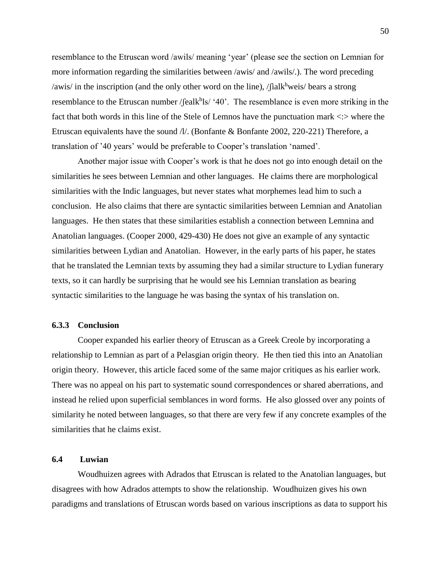resemblance to the Etruscan word /awils/ meaning 'year' (please see the section on Lemnian for more information regarding the similarities between /awis/ and /awils/.). The word preceding /awis/ in the inscription (and the only other word on the line), / $\int$ ialkhweis/ bears a strong resemblance to the Etruscan number / $\text{fealk}^h$ ls/ '40'. The resemblance is even more striking in the fact that both words in this line of the Stele of Lemnos have the punctuation mark  $\langle \cdot \rangle$  where the Etruscan equivalents have the sound  $\pi$ . (Bonfante & Bonfante 2002, 220-221) Therefore, a translation of '40 years' would be preferable to Cooper's translation 'named'.

Another major issue with Cooper's work is that he does not go into enough detail on the similarities he sees between Lemnian and other languages. He claims there are morphological similarities with the Indic languages, but never states what morphemes lead him to such a conclusion. He also claims that there are syntactic similarities between Lemnian and Anatolian languages. He then states that these similarities establish a connection between Lemnina and Anatolian languages. (Cooper 2000, 429-430) He does not give an example of any syntactic similarities between Lydian and Anatolian. However, in the early parts of his paper, he states that he translated the Lemnian texts by assuming they had a similar structure to Lydian funerary texts, so it can hardly be surprising that he would see his Lemnian translation as bearing syntactic similarities to the language he was basing the syntax of his translation on.

#### **6.3.3 Conclusion**

Cooper expanded his earlier theory of Etruscan as a Greek Creole by incorporating a relationship to Lemnian as part of a Pelasgian origin theory. He then tied this into an Anatolian origin theory. However, this article faced some of the same major critiques as his earlier work. There was no appeal on his part to systematic sound correspondences or shared aberrations, and instead he relied upon superficial semblances in word forms. He also glossed over any points of similarity he noted between languages, so that there are very few if any concrete examples of the similarities that he claims exist.

## **6.4 Luwian**

Woudhuizen agrees with Adrados that Etruscan is related to the Anatolian languages, but disagrees with how Adrados attempts to show the relationship. Woudhuizen gives his own paradigms and translations of Etruscan words based on various inscriptions as data to support his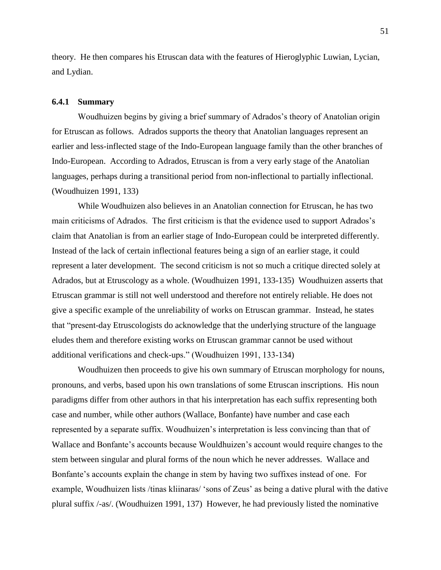theory. He then compares his Etruscan data with the features of Hieroglyphic Luwian, Lycian, and Lydian.

#### **6.4.1 Summary**

Woudhuizen begins by giving a brief summary of Adrados's theory of Anatolian origin for Etruscan as follows. Adrados supports the theory that Anatolian languages represent an earlier and less-inflected stage of the Indo-European language family than the other branches of Indo-European. According to Adrados, Etruscan is from a very early stage of the Anatolian languages, perhaps during a transitional period from non-inflectional to partially inflectional. (Woudhuizen 1991, 133)

While Woudhuizen also believes in an Anatolian connection for Etruscan, he has two main criticisms of Adrados. The first criticism is that the evidence used to support Adrados's claim that Anatolian is from an earlier stage of Indo-European could be interpreted differently. Instead of the lack of certain inflectional features being a sign of an earlier stage, it could represent a later development. The second criticism is not so much a critique directed solely at Adrados, but at Etruscology as a whole. (Woudhuizen 1991, 133-135) Woudhuizen asserts that Etruscan grammar is still not well understood and therefore not entirely reliable. He does not give a specific example of the unreliability of works on Etruscan grammar. Instead, he states that "present-day Etruscologists do acknowledge that the underlying structure of the language eludes them and therefore existing works on Etruscan grammar cannot be used without additional verifications and check-ups." (Woudhuizen 1991, 133-134)

Woudhuizen then proceeds to give his own summary of Etruscan morphology for nouns, pronouns, and verbs, based upon his own translations of some Etruscan inscriptions. His noun paradigms differ from other authors in that his interpretation has each suffix representing both case and number, while other authors (Wallace, Bonfante) have number and case each represented by a separate suffix. Woudhuizen's interpretation is less convincing than that of Wallace and Bonfante's accounts because Wouldhuizen's account would require changes to the stem between singular and plural forms of the noun which he never addresses. Wallace and Bonfante's accounts explain the change in stem by having two suffixes instead of one. For example, Woudhuizen lists /tinas kliinaras/ 'sons of Zeus' as being a dative plural with the dative plural suffix /-as/. (Woudhuizen 1991, 137) However, he had previously listed the nominative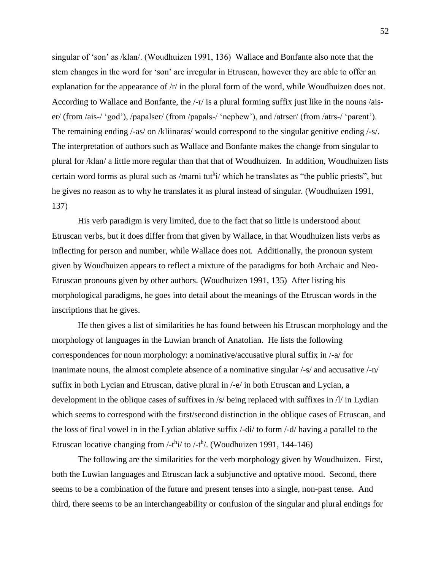singular of 'son' as /klan/. (Woudhuizen 1991, 136) Wallace and Bonfante also note that the stem changes in the word for 'son' are irregular in Etruscan, however they are able to offer an explanation for the appearance of /r/ in the plural form of the word, while Woudhuizen does not. According to Wallace and Bonfante, the /-r/ is a plural forming suffix just like in the nouns /aiser/ (from /ais-/ 'god'), /papalser/ (from /papals-/ 'nephew'), and /atrser/ (from /atrs-/ 'parent'). The remaining ending /-as/ on /kliinaras/ would correspond to the singular genitive ending /-s/. The interpretation of authors such as Wallace and Bonfante makes the change from singular to plural for /klan/ a little more regular than that that of Woudhuizen. In addition, Woudhuizen lists certain word forms as plural such as /marni tuthi/ which he translates as "the public priests", but he gives no reason as to why he translates it as plural instead of singular. (Woudhuizen 1991, 137)

His verb paradigm is very limited, due to the fact that so little is understood about Etruscan verbs, but it does differ from that given by Wallace, in that Woudhuizen lists verbs as inflecting for person and number, while Wallace does not. Additionally, the pronoun system given by Woudhuizen appears to reflect a mixture of the paradigms for both Archaic and Neo-Etruscan pronouns given by other authors. (Woudhuizen 1991, 135) After listing his morphological paradigms, he goes into detail about the meanings of the Etruscan words in the inscriptions that he gives.

He then gives a list of similarities he has found between his Etruscan morphology and the morphology of languages in the Luwian branch of Anatolian. He lists the following correspondences for noun morphology: a nominative/accusative plural suffix in /-a/ for inanimate nouns, the almost complete absence of a nominative singular /-s/ and accusative /-n/ suffix in both Lycian and Etruscan, dative plural in /-e/ in both Etruscan and Lycian, a development in the oblique cases of suffixes in /s/ being replaced with suffixes in /l/ in Lydian which seems to correspond with the first/second distinction in the oblique cases of Etruscan, and the loss of final vowel in in the Lydian ablative suffix /-di/ to form /-d/ having a parallel to the Etruscan locative changing from  $/$ -t<sup>h</sup>i $/$  to  $/$ -t<sup>h</sup> $/$ . (Woudhuizen 1991, 144-146)

The following are the similarities for the verb morphology given by Woudhuizen. First, both the Luwian languages and Etruscan lack a subjunctive and optative mood. Second, there seems to be a combination of the future and present tenses into a single, non-past tense. And third, there seems to be an interchangeability or confusion of the singular and plural endings for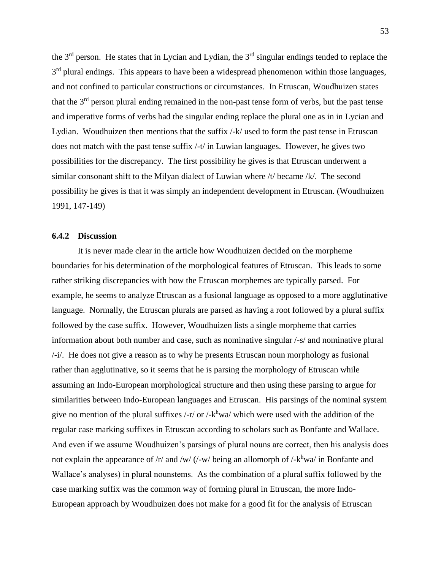the 3<sup>rd</sup> person. He states that in Lycian and Lydian, the 3<sup>rd</sup> singular endings tended to replace the 3<sup>rd</sup> plural endings. This appears to have been a widespread phenomenon within those languages, and not confined to particular constructions or circumstances. In Etruscan, Woudhuizen states that the  $3<sup>rd</sup>$  person plural ending remained in the non-past tense form of verbs, but the past tense and imperative forms of verbs had the singular ending replace the plural one as in in Lycian and Lydian. Woudhuizen then mentions that the suffix /-k/ used to form the past tense in Etruscan does not match with the past tense suffix /-t/ in Luwian languages. However, he gives two possibilities for the discrepancy. The first possibility he gives is that Etruscan underwent a similar consonant shift to the Milyan dialect of Luwian where /t/ became /k/. The second possibility he gives is that it was simply an independent development in Etruscan. (Woudhuizen 1991, 147-149)

#### **6.4.2 Discussion**

It is never made clear in the article how Woudhuizen decided on the morpheme boundaries for his determination of the morphological features of Etruscan. This leads to some rather striking discrepancies with how the Etruscan morphemes are typically parsed. For example, he seems to analyze Etruscan as a fusional language as opposed to a more agglutinative language. Normally, the Etruscan plurals are parsed as having a root followed by a plural suffix followed by the case suffix. However, Woudhuizen lists a single morpheme that carries information about both number and case, such as nominative singular /-s/ and nominative plural /-i/. He does not give a reason as to why he presents Etruscan noun morphology as fusional rather than agglutinative, so it seems that he is parsing the morphology of Etruscan while assuming an Indo-European morphological structure and then using these parsing to argue for similarities between Indo-European languages and Etruscan. His parsings of the nominal system give no mention of the plural suffixes  $\frac{1}{r}$  or  $\frac{1}{r}$  which were used with the addition of the regular case marking suffixes in Etruscan according to scholars such as Bonfante and Wallace. And even if we assume Woudhuizen's parsings of plural nouns are correct, then his analysis does not explain the appearance of  $/r$  and  $/w$  (/-w/ being an allomorph of /- $k^h$ wa/ in Bonfante and Wallace's analyses) in plural nounstems. As the combination of a plural suffix followed by the case marking suffix was the common way of forming plural in Etruscan, the more Indo-European approach by Woudhuizen does not make for a good fit for the analysis of Etruscan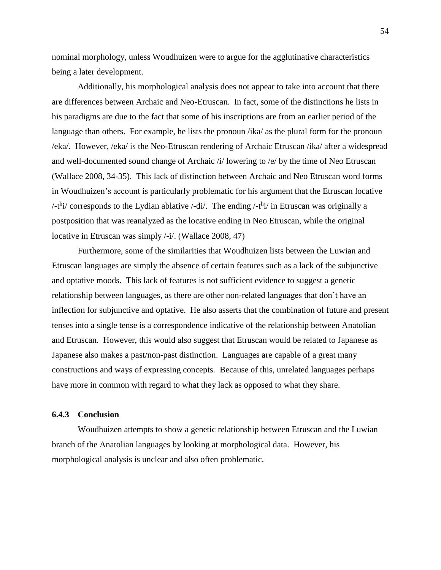nominal morphology, unless Woudhuizen were to argue for the agglutinative characteristics being a later development.

Additionally, his morphological analysis does not appear to take into account that there are differences between Archaic and Neo-Etruscan. In fact, some of the distinctions he lists in his paradigms are due to the fact that some of his inscriptions are from an earlier period of the language than others. For example, he lists the pronoun /ika/ as the plural form for the pronoun /eka/. However, /eka/ is the Neo-Etruscan rendering of Archaic Etruscan /ika/ after a widespread and well-documented sound change of Archaic /i/ lowering to /e/ by the time of Neo Etruscan (Wallace 2008, 34-35). This lack of distinction between Archaic and Neo Etruscan word forms in Woudhuizen's account is particularly problematic for his argument that the Etruscan locative /-t<sup>h</sup>i/ corresponds to the Lydian ablative /-di/. The ending /-t<sup>h</sup>i/ in Etruscan was originally a postposition that was reanalyzed as the locative ending in Neo Etruscan, while the original locative in Etruscan was simply /-i/. (Wallace 2008, 47)

Furthermore, some of the similarities that Woudhuizen lists between the Luwian and Etruscan languages are simply the absence of certain features such as a lack of the subjunctive and optative moods. This lack of features is not sufficient evidence to suggest a genetic relationship between languages, as there are other non-related languages that don't have an inflection for subjunctive and optative. He also asserts that the combination of future and present tenses into a single tense is a correspondence indicative of the relationship between Anatolian and Etruscan. However, this would also suggest that Etruscan would be related to Japanese as Japanese also makes a past/non-past distinction. Languages are capable of a great many constructions and ways of expressing concepts. Because of this, unrelated languages perhaps have more in common with regard to what they lack as opposed to what they share.

#### **6.4.3 Conclusion**

Woudhuizen attempts to show a genetic relationship between Etruscan and the Luwian branch of the Anatolian languages by looking at morphological data. However, his morphological analysis is unclear and also often problematic.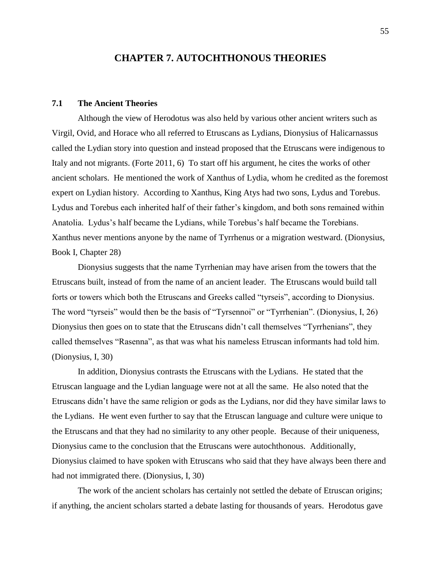# **CHAPTER 7. AUTOCHTHONOUS THEORIES**

### **7.1 The Ancient Theories**

Although the view of Herodotus was also held by various other ancient writers such as Virgil, Ovid, and Horace who all referred to Etruscans as Lydians, Dionysius of Halicarnassus called the Lydian story into question and instead proposed that the Etruscans were indigenous to Italy and not migrants. (Forte 2011, 6) To start off his argument, he cites the works of other ancient scholars. He mentioned the work of Xanthus of Lydia, whom he credited as the foremost expert on Lydian history. According to Xanthus, King Atys had two sons, Lydus and Torebus. Lydus and Torebus each inherited half of their father's kingdom, and both sons remained within Anatolia. Lydus's half became the Lydians, while Torebus's half became the Torebians. Xanthus never mentions anyone by the name of Tyrrhenus or a migration westward. (Dionysius, Book I, Chapter 28)

Dionysius suggests that the name Tyrrhenian may have arisen from the towers that the Etruscans built, instead of from the name of an ancient leader. The Etruscans would build tall forts or towers which both the Etruscans and Greeks called "tyrseis", according to Dionysius. The word "tyrseis" would then be the basis of "Tyrsennoi" or "Tyrrhenian". (Dionysius, I, 26) Dionysius then goes on to state that the Etruscans didn't call themselves "Tyrrhenians", they called themselves "Rasenna", as that was what his nameless Etruscan informants had told him. (Dionysius, I, 30)

In addition, Dionysius contrasts the Etruscans with the Lydians. He stated that the Etruscan language and the Lydian language were not at all the same. He also noted that the Etruscans didn't have the same religion or gods as the Lydians, nor did they have similar laws to the Lydians. He went even further to say that the Etruscan language and culture were unique to the Etruscans and that they had no similarity to any other people. Because of their uniqueness, Dionysius came to the conclusion that the Etruscans were autochthonous. Additionally, Dionysius claimed to have spoken with Etruscans who said that they have always been there and had not immigrated there. (Dionysius, I, 30)

The work of the ancient scholars has certainly not settled the debate of Etruscan origins; if anything, the ancient scholars started a debate lasting for thousands of years. Herodotus gave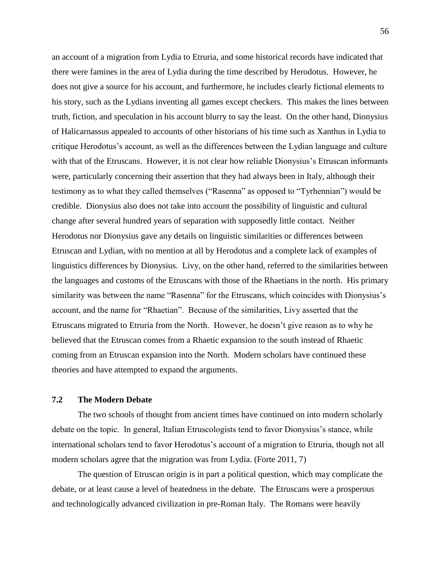an account of a migration from Lydia to Etruria, and some historical records have indicated that there were famines in the area of Lydia during the time described by Herodotus. However, he does not give a source for his account, and furthermore, he includes clearly fictional elements to his story, such as the Lydians inventing all games except checkers. This makes the lines between truth, fiction, and speculation in his account blurry to say the least. On the other hand, Dionysius of Halicarnassus appealed to accounts of other historians of his time such as Xanthus in Lydia to critique Herodotus's account, as well as the differences between the Lydian language and culture with that of the Etruscans. However, it is not clear how reliable Dionysius's Etruscan informants were, particularly concerning their assertion that they had always been in Italy, although their testimony as to what they called themselves ("Rasenna" as opposed to "Tyrhennian") would be credible. Dionysius also does not take into account the possibility of linguistic and cultural change after several hundred years of separation with supposedly little contact. Neither Herodotus nor Dionysius gave any details on linguistic similarities or differences between Etruscan and Lydian, with no mention at all by Herodotus and a complete lack of examples of linguistics differences by Dionysius. Livy, on the other hand, referred to the similarities between the languages and customs of the Etruscans with those of the Rhaetians in the north. His primary similarity was between the name "Rasenna" for the Etruscans, which coincides with Dionysius's account, and the name for "Rhaetian". Because of the similarities, Livy asserted that the Etruscans migrated to Etruria from the North. However, he doesn't give reason as to why he believed that the Etruscan comes from a Rhaetic expansion to the south instead of Rhaetic coming from an Etruscan expansion into the North. Modern scholars have continued these theories and have attempted to expand the arguments.

### **7.2 The Modern Debate**

The two schools of thought from ancient times have continued on into modern scholarly debate on the topic. In general, Italian Etruscologists tend to favor Dionysius's stance, while international scholars tend to favor Herodotus's account of a migration to Etruria, though not all modern scholars agree that the migration was from Lydia. (Forte 2011, 7)

The question of Etruscan origin is in part a political question, which may complicate the debate, or at least cause a level of heatedness in the debate. The Etruscans were a prosperous and technologically advanced civilization in pre-Roman Italy. The Romans were heavily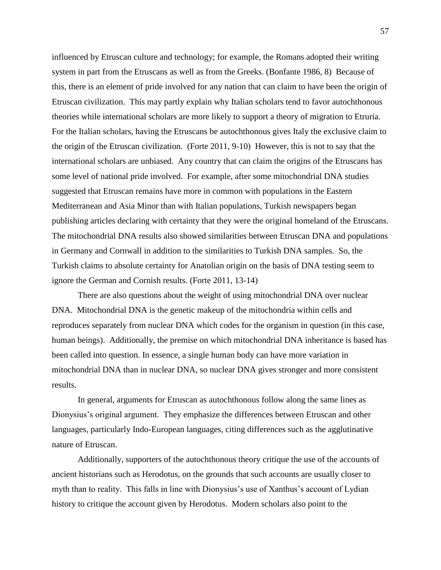influenced by Etruscan culture and technology; for example, the Romans adopted their writing system in part from the Etruscans as well as from the Greeks. (Bonfante 1986, 8) Because of this, there is an element of pride involved for any nation that can claim to have been the origin of Etruscan civilization. This may partly explain why Italian scholars tend to favor autochthonous theories while international scholars are more likely to support a theory of migration to Etruria. For the Italian scholars, having the Etruscans be autochthonous gives Italy the exclusive claim to the origin of the Etruscan civilization. (Forte 2011, 9-10) However, this is not to say that the international scholars are unbiased. Any country that can claim the origins of the Etruscans has some level of national pride involved. For example, after some mitochondrial DNA studies suggested that Etruscan remains have more in common with populations in the Eastern Mediterranean and Asia Minor than with Italian populations, Turkish newspapers began publishing articles declaring with certainty that they were the original homeland of the Etruscans. The mitochondrial DNA results also showed similarities between Etruscan DNA and populations in Germany and Cornwall in addition to the similarities to Turkish DNA samples. So, the Turkish claims to absolute certainty for Anatolian origin on the basis of DNA testing seem to ignore the German and Cornish results. (Forte 2011, 13-14)

There are also questions about the weight of using mitochondrial DNA over nuclear DNA. Mitochondrial DNA is the genetic makeup of the mitochondria within cells and reproduces separately from nuclear DNA which codes for the organism in question (in this case, human beings). Additionally, the premise on which mitochondrial DNA inheritance is based has been called into question. In essence, a single human body can have more variation in mitochondrial DNA than in nuclear DNA, so nuclear DNA gives stronger and more consistent results.

In general, arguments for Etruscan as autochthonous follow along the same lines as Dionysius's original argument. They emphasize the differences between Etruscan and other languages, particularly Indo-European languages, citing differences such as the agglutinative nature of Etruscan.

Additionally, supporters of the autochthonous theory critique the use of the accounts of ancient historians such as Herodotus, on the grounds that such accounts are usually closer to myth than to reality. This falls in line with Dionysius's use of Xanthus's account of Lydian history to critique the account given by Herodotus. Modern scholars also point to the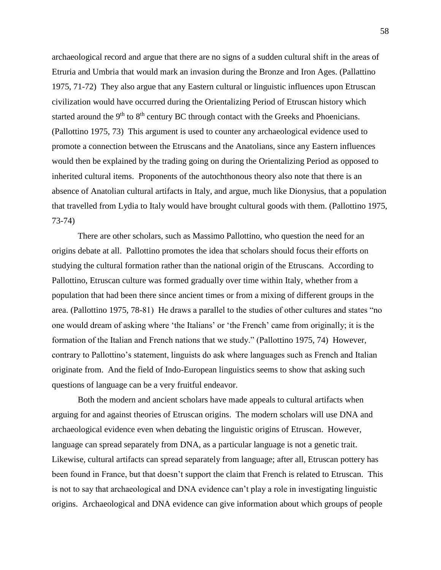archaeological record and argue that there are no signs of a sudden cultural shift in the areas of Etruria and Umbria that would mark an invasion during the Bronze and Iron Ages. (Pallattino 1975, 71-72) They also argue that any Eastern cultural or linguistic influences upon Etruscan civilization would have occurred during the Orientalizing Period of Etruscan history which started around the  $9<sup>th</sup>$  to  $8<sup>th</sup>$  century BC through contact with the Greeks and Phoenicians. (Pallottino 1975, 73) This argument is used to counter any archaeological evidence used to promote a connection between the Etruscans and the Anatolians, since any Eastern influences would then be explained by the trading going on during the Orientalizing Period as opposed to inherited cultural items. Proponents of the autochthonous theory also note that there is an absence of Anatolian cultural artifacts in Italy, and argue, much like Dionysius, that a population that travelled from Lydia to Italy would have brought cultural goods with them. (Pallottino 1975, 73-74)

There are other scholars, such as Massimo Pallottino, who question the need for an origins debate at all. Pallottino promotes the idea that scholars should focus their efforts on studying the cultural formation rather than the national origin of the Etruscans. According to Pallottino, Etruscan culture was formed gradually over time within Italy, whether from a population that had been there since ancient times or from a mixing of different groups in the area. (Pallottino 1975, 78-81) He draws a parallel to the studies of other cultures and states "no one would dream of asking where 'the Italians' or 'the French' came from originally; it is the formation of the Italian and French nations that we study." (Pallottino 1975, 74) However, contrary to Pallottino's statement, linguists do ask where languages such as French and Italian originate from. And the field of Indo-European linguistics seems to show that asking such questions of language can be a very fruitful endeavor.

Both the modern and ancient scholars have made appeals to cultural artifacts when arguing for and against theories of Etruscan origins. The modern scholars will use DNA and archaeological evidence even when debating the linguistic origins of Etruscan. However, language can spread separately from DNA, as a particular language is not a genetic trait. Likewise, cultural artifacts can spread separately from language; after all, Etruscan pottery has been found in France, but that doesn't support the claim that French is related to Etruscan. This is not to say that archaeological and DNA evidence can't play a role in investigating linguistic origins. Archaeological and DNA evidence can give information about which groups of people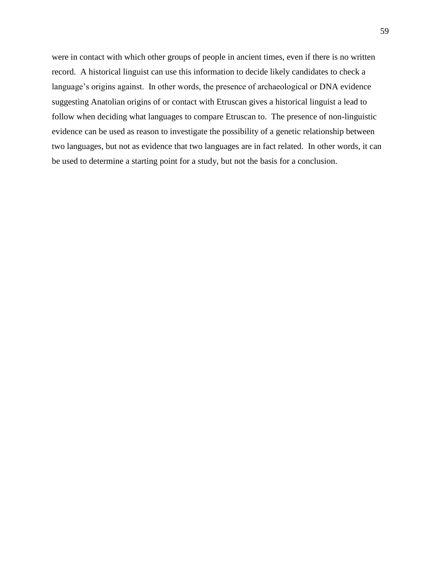were in contact with which other groups of people in ancient times, even if there is no written record. A historical linguist can use this information to decide likely candidates to check a language's origins against. In other words, the presence of archaeological or DNA evidence suggesting Anatolian origins of or contact with Etruscan gives a historical linguist a lead to follow when deciding what languages to compare Etruscan to. The presence of non-linguistic evidence can be used as reason to investigate the possibility of a genetic relationship between two languages, but not as evidence that two languages are in fact related. In other words, it can be used to determine a starting point for a study, but not the basis for a conclusion.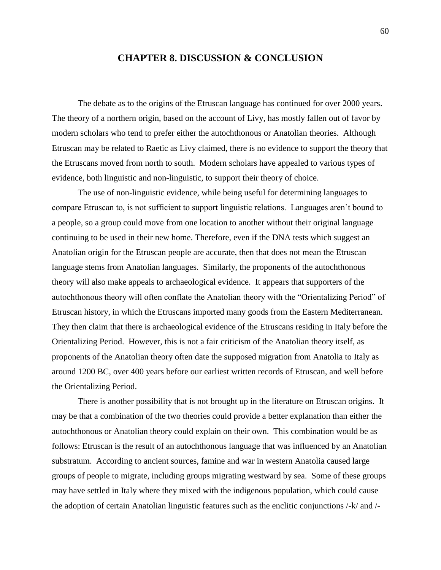### **CHAPTER 8. DISCUSSION & CONCLUSION**

The debate as to the origins of the Etruscan language has continued for over 2000 years. The theory of a northern origin, based on the account of Livy, has mostly fallen out of favor by modern scholars who tend to prefer either the autochthonous or Anatolian theories. Although Etruscan may be related to Raetic as Livy claimed, there is no evidence to support the theory that the Etruscans moved from north to south. Modern scholars have appealed to various types of evidence, both linguistic and non-linguistic, to support their theory of choice.

The use of non-linguistic evidence, while being useful for determining languages to compare Etruscan to, is not sufficient to support linguistic relations. Languages aren't bound to a people, so a group could move from one location to another without their original language continuing to be used in their new home. Therefore, even if the DNA tests which suggest an Anatolian origin for the Etruscan people are accurate, then that does not mean the Etruscan language stems from Anatolian languages. Similarly, the proponents of the autochthonous theory will also make appeals to archaeological evidence. It appears that supporters of the autochthonous theory will often conflate the Anatolian theory with the "Orientalizing Period" of Etruscan history, in which the Etruscans imported many goods from the Eastern Mediterranean. They then claim that there is archaeological evidence of the Etruscans residing in Italy before the Orientalizing Period. However, this is not a fair criticism of the Anatolian theory itself, as proponents of the Anatolian theory often date the supposed migration from Anatolia to Italy as around 1200 BC, over 400 years before our earliest written records of Etruscan, and well before the Orientalizing Period.

There is another possibility that is not brought up in the literature on Etruscan origins. It may be that a combination of the two theories could provide a better explanation than either the autochthonous or Anatolian theory could explain on their own. This combination would be as follows: Etruscan is the result of an autochthonous language that was influenced by an Anatolian substratum. According to ancient sources, famine and war in western Anatolia caused large groups of people to migrate, including groups migrating westward by sea. Some of these groups may have settled in Italy where they mixed with the indigenous population, which could cause the adoption of certain Anatolian linguistic features such as the enclitic conjunctions /-k/ and /-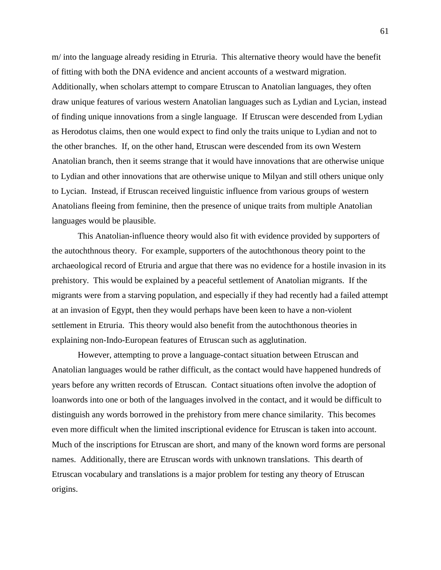m/ into the language already residing in Etruria. This alternative theory would have the benefit of fitting with both the DNA evidence and ancient accounts of a westward migration. Additionally, when scholars attempt to compare Etruscan to Anatolian languages, they often draw unique features of various western Anatolian languages such as Lydian and Lycian, instead of finding unique innovations from a single language. If Etruscan were descended from Lydian as Herodotus claims, then one would expect to find only the traits unique to Lydian and not to the other branches. If, on the other hand, Etruscan were descended from its own Western Anatolian branch, then it seems strange that it would have innovations that are otherwise unique to Lydian and other innovations that are otherwise unique to Milyan and still others unique only to Lycian. Instead, if Etruscan received linguistic influence from various groups of western Anatolians fleeing from feminine, then the presence of unique traits from multiple Anatolian languages would be plausible.

This Anatolian-influence theory would also fit with evidence provided by supporters of the autochthnous theory. For example, supporters of the autochthonous theory point to the archaeological record of Etruria and argue that there was no evidence for a hostile invasion in its prehistory. This would be explained by a peaceful settlement of Anatolian migrants. If the migrants were from a starving population, and especially if they had recently had a failed attempt at an invasion of Egypt, then they would perhaps have been keen to have a non-violent settlement in Etruria. This theory would also benefit from the autochthonous theories in explaining non-Indo-European features of Etruscan such as agglutination.

However, attempting to prove a language-contact situation between Etruscan and Anatolian languages would be rather difficult, as the contact would have happened hundreds of years before any written records of Etruscan. Contact situations often involve the adoption of loanwords into one or both of the languages involved in the contact, and it would be difficult to distinguish any words borrowed in the prehistory from mere chance similarity. This becomes even more difficult when the limited inscriptional evidence for Etruscan is taken into account. Much of the inscriptions for Etruscan are short, and many of the known word forms are personal names. Additionally, there are Etruscan words with unknown translations. This dearth of Etruscan vocabulary and translations is a major problem for testing any theory of Etruscan origins.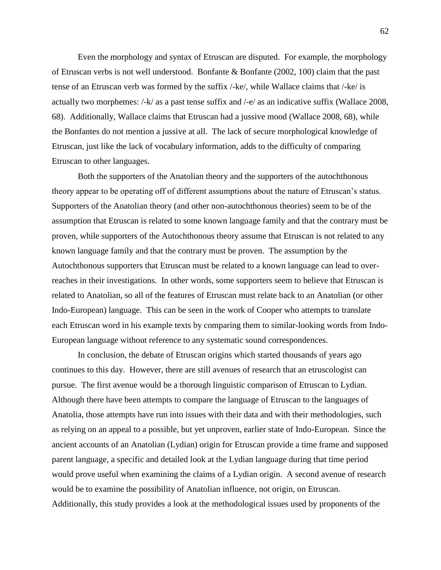Even the morphology and syntax of Etruscan are disputed. For example, the morphology of Etruscan verbs is not well understood. Bonfante & Bonfante (2002, 100) claim that the past tense of an Etruscan verb was formed by the suffix /-ke/, while Wallace claims that /-ke/ is actually two morphemes: /-k/ as a past tense suffix and /-e/ as an indicative suffix (Wallace 2008, 68). Additionally, Wallace claims that Etruscan had a jussive mood (Wallace 2008, 68), while the Bonfantes do not mention a jussive at all. The lack of secure morphological knowledge of Etruscan, just like the lack of vocabulary information, adds to the difficulty of comparing Etruscan to other languages.

Both the supporters of the Anatolian theory and the supporters of the autochthonous theory appear to be operating off of different assumptions about the nature of Etruscan's status. Supporters of the Anatolian theory (and other non-autochthonous theories) seem to be of the assumption that Etruscan is related to some known language family and that the contrary must be proven, while supporters of the Autochthonous theory assume that Etruscan is not related to any known language family and that the contrary must be proven. The assumption by the Autochthonous supporters that Etruscan must be related to a known language can lead to overreaches in their investigations. In other words, some supporters seem to believe that Etruscan is related to Anatolian, so all of the features of Etruscan must relate back to an Anatolian (or other Indo-European) language. This can be seen in the work of Cooper who attempts to translate each Etruscan word in his example texts by comparing them to similar-looking words from Indo-European language without reference to any systematic sound correspondences.

In conclusion, the debate of Etruscan origins which started thousands of years ago continues to this day. However, there are still avenues of research that an etruscologist can pursue. The first avenue would be a thorough linguistic comparison of Etruscan to Lydian. Although there have been attempts to compare the language of Etruscan to the languages of Anatolia, those attempts have run into issues with their data and with their methodologies, such as relying on an appeal to a possible, but yet unproven, earlier state of Indo-European. Since the ancient accounts of an Anatolian (Lydian) origin for Etruscan provide a time frame and supposed parent language, a specific and detailed look at the Lydian language during that time period would prove useful when examining the claims of a Lydian origin. A second avenue of research would be to examine the possibility of Anatolian influence, not origin, on Etruscan. Additionally, this study provides a look at the methodological issues used by proponents of the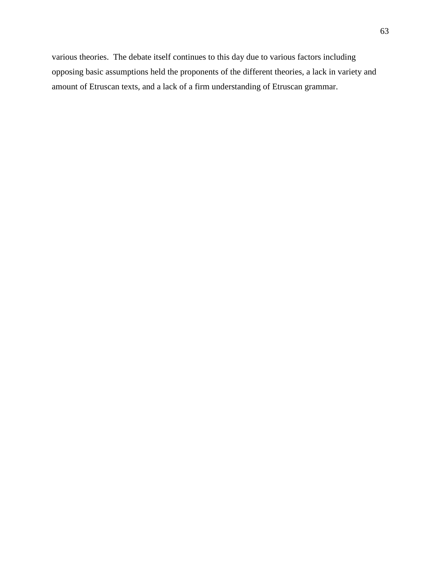various theories. The debate itself continues to this day due to various factors including opposing basic assumptions held the proponents of the different theories, a lack in variety and amount of Etruscan texts, and a lack of a firm understanding of Etruscan grammar.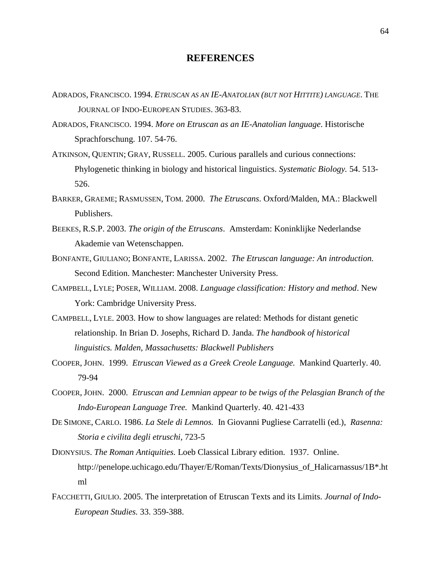## **REFERENCES**

- ADRADOS, FRANCISCO. 1994. *ETRUSCAN AS AN IE-ANATOLIAN (BUT NOT HITTITE) LANGUAGE*. THE JOURNAL OF INDO-EUROPEAN STUDIES. 363-83.
- ADRADOS, FRANCISCO. 1994. *More on Etruscan as an IE-Anatolian language*. Historische Sprachforschung. 107. 54-76.
- ATKINSON, QUENTIN; GRAY, RUSSELL. 2005. Curious parallels and curious connections: Phylogenetic thinking in biology and historical linguistics. *Systematic Biology.* 54. 513- 526.
- BARKER, GRAEME; RASMUSSEN, TOM. 2000. *The Etruscans*. Oxford/Malden, MA.: Blackwell Publishers.
- BEEKES, R.S.P. 2003. *The origin of the Etruscans*. Amsterdam: Koninklijke Nederlandse Akademie van Wetenschappen.
- BONFANTE, GIULIANO; BONFANTE, LARISSA. 2002. *The Etruscan language: An introduction.* Second Edition. Manchester: Manchester University Press.
- CAMPBELL, LYLE; POSER, WILLIAM. 2008. *Language classification: History and method*. New York: Cambridge University Press.
- CAMPBELL, LYLE. 2003. How to show languages are related: Methods for distant genetic relationship. In Brian D. Josephs, Richard D. Janda. *The handbook of historical linguistics. Malden, Massachusetts: Blackwell Publishers*
- COOPER, JOHN. 1999. *Etruscan Viewed as a Greek Creole Language.* Mankind Quarterly. 40. 79-94
- COOPER, JOHN. 2000. *Etruscan and Lemnian appear to be twigs of the Pelasgian Branch of the Indo-European Language Tree.* Mankind Quarterly. 40. 421-433
- DE SIMONE, CARLO. 1986. *La Stele di Lemnos.* In Giovanni Pugliese Carratelli (ed.), *Rasenna: Storia e civilita degli etruschi,* 723-5
- DIONYSIUS. *The Roman Antiquities.* Loeb Classical Library edition. 1937. Online. http://penelope.uchicago.edu/Thayer/E/Roman/Texts/Dionysius\_of\_Halicarnassus/1B\*.ht ml
- FACCHETTI, GIULIO. 2005. The interpretation of Etruscan Texts and its Limits. *Journal of Indo-European Studies.* 33. 359-388.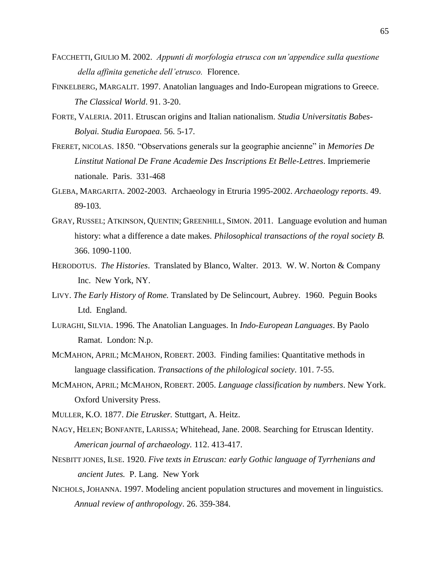- FACCHETTI, GIULIO M. 2002. *Appunti di morfologia etrusca con un'appendice sulla questione della affinita genetiche dell'etrusco.* Florence.
- FINKELBERG, MARGALIT. 1997. Anatolian languages and Indo-European migrations to Greece. *The Classical World*. 91. 3-20.
- FORTE, VALERIA. 2011. Etruscan origins and Italian nationalism. *Studia Universitatis Babes-Bolyai. Studia Europaea.* 56. 5-17.
- FRERET, NICOLAS. 1850. "Observations generals sur la geographie ancienne" in *Memories De Linstitut National De Frane Academie Des Inscriptions Et Belle-Lettres*. Impriemerie nationale. Paris. 331-468
- GLEBA, MARGARITA. 2002-2003. Archaeology in Etruria 1995-2002. *Archaeology reports*. 49. 89-103.
- GRAY, RUSSEL; ATKINSON, QUENTIN; GREENHILL, SIMON. 2011. Language evolution and human history: what a difference a date makes. *Philosophical transactions of the royal society B.*  366. 1090-1100.
- HERODOTUS. *The Histories*. Translated by Blanco, Walter. 2013. W. W. Norton & Company Inc. New York, NY.
- LIVY. *The Early History of Rome.* Translated by De Selincourt, Aubrey. 1960. Peguin Books Ltd. England.
- LURAGHI, SILVIA. 1996. The Anatolian Languages. In *Indo-European Languages*. By Paolo Ramat. London: N.p.
- MCMAHON, APRIL; MCMAHON, ROBERT. 2003. Finding families: Quantitative methods in language classification. *Transactions of the philological society*. 101. 7-55.
- MCMAHON, APRIL; MCMAHON, ROBERT. 2005. *Language classification by numbers*. New York. Oxford University Press.
- MULLER, K.O. 1877. *Die Etrusker.* Stuttgart, A. Heitz.
- NAGY, HELEN; BONFANTE, LARISSA; Whitehead, Jane. 2008. Searching for Etruscan Identity. *American journal of archaeology.* 112. 413-417.
- NESBITT JONES, ILSE. 1920. *Five texts in Etruscan: early Gothic language of Tyrrhenians and ancient Jutes.* P. Lang. New York
- NICHOLS, JOHANNA. 1997. Modeling ancient population structures and movement in linguistics. *Annual review of anthropology*. 26. 359-384.